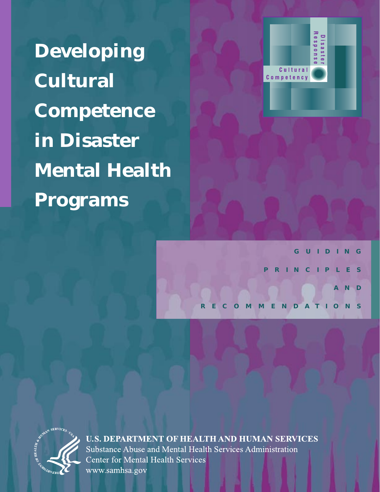**Developing Cultural Competence in Disaster Mental Health Programs**



**GUIDING PRINCIPLES AND RECOMMENDATIONS**

**U.S. DEPARTMENT OF HEALTH AND HUMAN SERVICES** Substance Abuse and Mental Health Services Administration **Center for Mental Health Services** www.samhsa.gov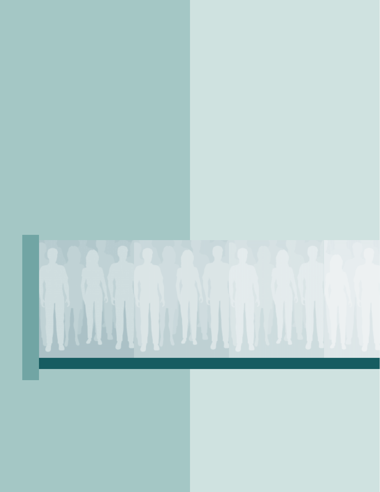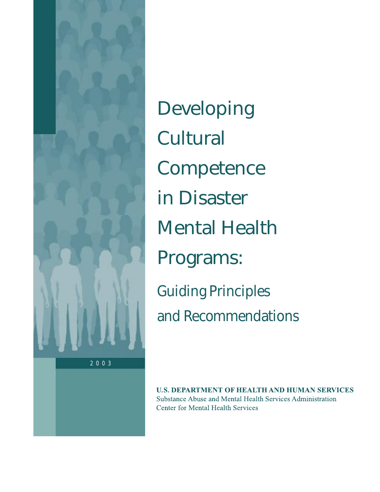

Developing **Cultural Competence** in Disaster Mental Health Programs: Guiding Principles and Recommendations

**U.S. DEPARTMENT OF HEALTH AND HUMAN SERVICES** Substance Abuse and Mental Health Services Administration **Center for Mental Health Services**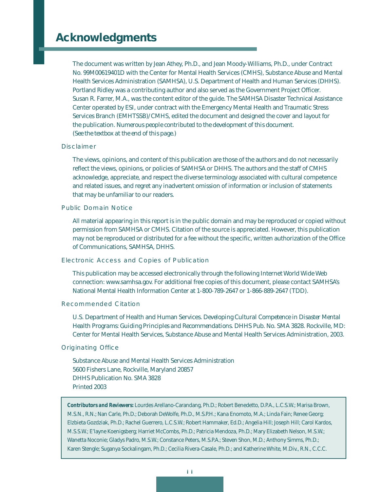# **Acknowledgments**

The document was written by Jean Athey, Ph.D., and Jean Moody-Williams, Ph.D., under Contract No. 99M00619401D with the Center for Mental Health Services (CMHS), Substance Abuse and Mental Health Services Administration (SAMHSA), U.S. Department of Health and Human Services (DHHS). Portland Ridley was a contributing author and also served as the Government Project Officer. Susan R. Farrer, M.A., was the content editor of the guide. The SAMHSA Disaster Technical Assistance Center operated by ESI, under contract with the Emergency Mental Health and Traumatic Stress Services Branch (EMHTSSB)/CMHS, edited the document and designed the cover and layout for the publication. *Numerous people contributed to the development of this document. (See the textbox at the end of this page.)*

#### Disclaimer

The views, opinions, and content of this publication are those of the authors and do not necessarily reflect the views, opinions, or policies of SAMHSA or DHHS. The authors and the staff of CMHS acknowledge, appreciate, and respect the diverse terminology associated with cultural competence and related issues, and regret any inadvertent omission of information or inclusion of statements that may be unfamiliar to our readers.

#### Public Domain Notice

All material appearing in this report is in the public domain and may be reproduced or copied without permission from SAMHSA or CMHS. Citation of the source is appreciated. However, this publication may not be reproduced or distributed for a fee without the specific, written authorization of the Office of Communications, SAMHSA, DHHS.

#### Electronic Access and Copies of Publication

This publication may be accessed electronically through the following Internet World Wide Web connection: www.samhsa.gov. For additional free copies of this document, please contact SAMHSA's National Mental Health Information Center at 1-800-789-2647 or 1-866-889-2647 (TDD).

#### Recommended Citation

U.S. Department of Health and Human Services. *Developing Cultural Competence in Disaster Mental Health Programs: Guiding Principles and Recommendations.* DHHS Pub. No. SMA 3828. Rockville, MD: Center for Mental Health Services, Substance Abuse and Mental Health Services Administration, 2003.

#### Originating Office

Substance Abuse and Mental Health Services Administration 5600 Fishers Lane, Rockville, Maryland 20857 DHHS Publication No. SMA 3828 Printed 2003

*Contributors and Reviewers:* Lourdes Arellano-Carandang, Ph.D.; Robert Benedetto, D.P.A., L.C.S.W.; Marisa Brown, M.S.N., R.N.; Nan Carle, Ph.D.; Deborah DeWolfe, Ph.D., M.S.P.H.; Kana Enomoto, M.A.; Linda Fain; Renee Georg; Elzbieta Gozdziak, Ph.D.; Rachel Guerrero, L.C.S.W.; Robert Hammaker, Ed.D.; Angelia Hill; Joseph Hill; Carol Kardos, M.S.S.W.; E'layne Koenigsberg; Harriet McCombs, Ph.D.; Patricia Mendoza, Ph.D.; Mary Elizabeth Nelson, M.S.W.; Wanetta Noconie; Gladys Padro, M.S.W.; Constance Peters, M.S.P.A.; Steven Shon, M.D.; Anthony Simms, Ph.D.; Karen Stengle; Suganya Sockalingam, Ph.D.; Cecilia Rivera-Casale, Ph.D.; and Katherine White, M.Div., R.N., C.C.C.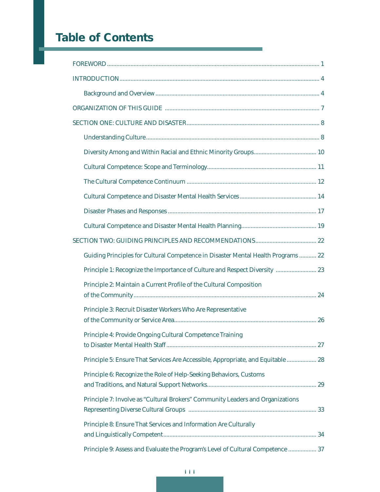# **Table of Contents**

| Guiding Principles for Cultural Competence in Disaster Mental Health Programs  22 |  |
|-----------------------------------------------------------------------------------|--|
| Principle 1: Recognize the Importance of Culture and Respect Diversity  23        |  |
| Principle 2: Maintain a Current Profile of the Cultural Composition               |  |
| Principle 3: Recruit Disaster Workers Who Are Representative                      |  |
| Principle 4: Provide Ongoing Cultural Competence Training                         |  |
| Principle 5: Ensure That Services Are Accessible, Appropriate, and Equitable  28  |  |
| Principle 6: Recognize the Role of Help-Seeking Behaviors, Customs                |  |
| Principle 7: Involve as "Cultural Brokers" Community Leaders and Organizations    |  |
| Principle 8: Ensure That Services and Information Are Culturally                  |  |
| Principle 9: Assess and Evaluate the Program's Level of Cultural Competence  37   |  |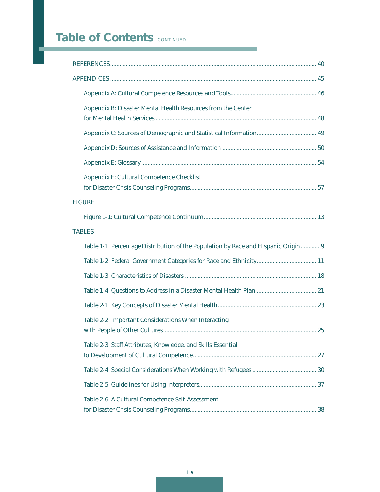# **Table of Contents CONTINUED**

л

| Appendix B: Disaster Mental Health Resources from the Center                       |  |
|------------------------------------------------------------------------------------|--|
|                                                                                    |  |
|                                                                                    |  |
|                                                                                    |  |
| <b>Appendix F: Cultural Competence Checklist</b>                                   |  |
| <b>FIGURE</b>                                                                      |  |
|                                                                                    |  |
| <b>TABLES</b>                                                                      |  |
| Table 1-1: Percentage Distribution of the Population by Race and Hispanic Origin 9 |  |
|                                                                                    |  |
|                                                                                    |  |
|                                                                                    |  |
|                                                                                    |  |
| Table 2-2: Important Considerations When Interacting                               |  |
| Table 2-3: Staff Attributes, Knowledge, and Skills Essential                       |  |
|                                                                                    |  |
|                                                                                    |  |
| Table 2-6: A Cultural Competence Self-Assessment                                   |  |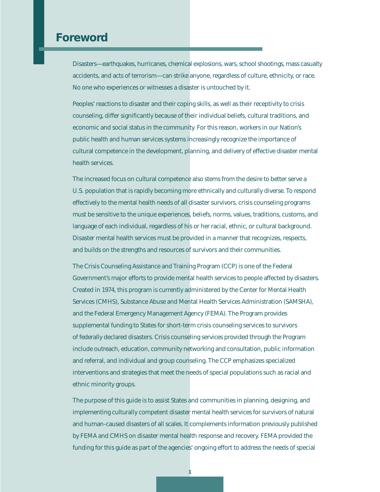# **Foreword**

Disasters—earthquakes, hurricanes, chemical explosions, wars, school shootings, mass casualty accidents, and acts of terrorism—can strike anyone, regardless of culture, ethnicity, or race. No one who experiences or witnesses a disaster is untouched by it.

Peoples' reactions to disaster and their coping skills, as well as their receptivity to crisis counseling, differ significantly because of their individual beliefs, cultural traditions, and economic and social status in the community. For this reason, workers in our Nation's public health and human services systems increasingly recognize the importance of cultural competence in the development, planning, and delivery of effective disaster mental health services.

The increased focus on cultural competence also stems from the desire to better serve a U.S. population that is rapidly becoming more ethnically and culturally diverse. To respond effectively to the mental health needs of all disaster survivors, crisis counseling programs must be sensitive to the unique experiences, beliefs, norms, values, traditions, customs, and language of each individual, regardless of his or her racial, ethnic, or cultural background. Disaster mental health services must be provided in a manner that recognizes, respects, and builds on the strengths and resources of survivors and their communities.

The Crisis Counseling Assistance and Training Program (CCP) is one of the Federal Government's major efforts to provide mental health services to people affected by disasters. Created in 1974, this program is currently administered by the Center for Mental Health Services (CMHS), Substance Abuse and Mental Health Services Administration (SAMSHA), and the Federal Emergency Management Agency (FEMA). The Program provides supplemental funding to States for short-term crisis counseling services to survivors of federally declared disasters. Crisis counseling services provided through the Program include outreach, education, community networking and consultation, public information and referral, and individual and group counseling. The CCP emphasizes specialized interventions and strategies that meet the needs of special populations such as racial and ethnic minority groups.

The purpose of this guide is to assist States and communities in planning, designing, and implementing culturally competent disaster mental health services for survivors of natural and human-caused disasters of all scales. It complements information previously published by FEMA and CMHS on disaster mental health response and recovery. FEMA provided the funding for this guide as part of the agencies' ongoing effort to address the needs of special

*1*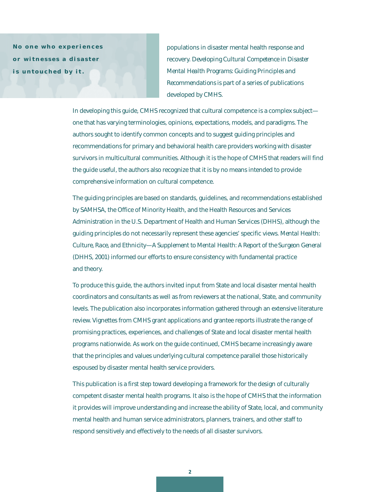**No one who experiences or witnesses a disaster is untouched by it.**

populations in disaster mental health response and recovery. *Developing Cultural Competence in Disaster Mental Health Programs: Guiding Principles and Recommendations* is part of a series of publications developed by CMHS.

In developing this guide, CMHS recognized that cultural competence is a complex subject one that has varying terminologies, opinions, expectations, models, and paradigms. The authors sought to identify common concepts and to suggest guiding principles and recommendations for primary and behavioral health care providers working with disaster survivors in multicultural communities. Although it is the hope of CMHS that readers will find the guide useful, the authors also recognize that it is by no means intended to provide comprehensive information on cultural competence.

The guiding principles are based on standards, guidelines, and recommendations established by SAMHSA, the Office of Minority Health, and the Health Resources and Services Administration in the U.S. Department of Health and Human Services (DHHS), although the guiding principles do not necessarily represent these agencies' specific views. *Mental Health: Culture, Race, and Ethnicity—A Supplement to Mental Health: A Report of the Surgeon General*  (DHHS, 2001) informed our efforts to ensure consistency with fundamental practice and theory.

To produce this guide, the authors invited input from State and local disaster mental health coordinators and consultants as well as from reviewers at the national, State, and community levels. The publication also incorporates information gathered through an extensive literature review. Vignettes from CMHS grant applications and grantee reports illustrate the range of promising practices, experiences, and challenges of State and local disaster mental health programs nationwide. As work on the guide continued, CMHS became increasingly aware that the principles and values underlying cultural competence parallel those historically espoused by disaster mental health service providers.

This publication is a first step toward developing a framework for the design of culturally competent disaster mental health programs. It also is the hope of CMHS that the information it provides will improve understanding and increase the ability of State, local, and community mental health and human service administrators, planners, trainers, and other staff to respond sensitively and effectively to the needs of all disaster survivors.

*2*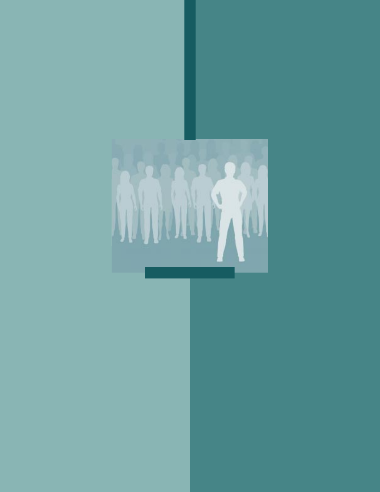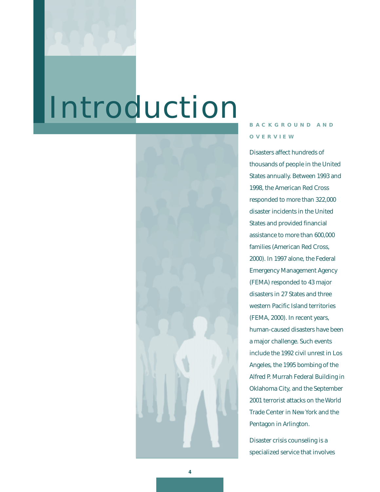# Introduction



## **BACKGROUND AND OVERVIEW**

Disasters affect hundreds of thousands of people in the United States annually. Between 1993 and 1998, the American Red Cross responded to more than 322,000 disaster incidents in the United States and provided financial assistance to more than 600,000 families (American Red Cross, 2000). In 1997 alone, the Federal Emergency Management Agency (FEMA) responded to 43 major disasters in 27 States and three western Pacific Island territories (FEMA, 2000). In recent years, human-caused disasters have been a major challenge. Such events include the 1992 civil unrest in Los Angeles, the 1995 bombing of the Alfred P. Murrah Federal Building in Oklahoma City, and the September 2001 terrorist attacks on the World Trade Center in New York and the Pentagon in Arlington.

Disaster crisis counseling is a specialized service that involves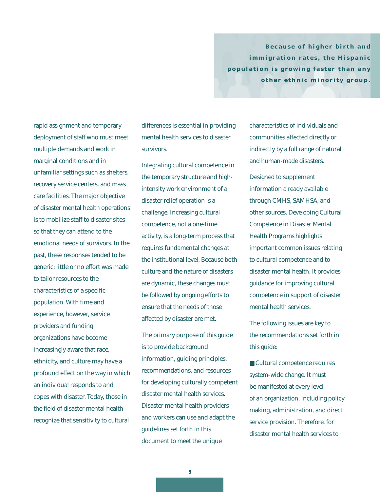**Because of higher birth and immigration rates, the Hispanic population is growing faster than any other ethnic minority group.**

rapid assignment and temporary deployment of staff who must meet multiple demands and work in marginal conditions and in unfamiliar settings such as shelters, recovery service centers, and mass care facilities. The major objective of disaster mental health operations is to mobilize staff to disaster sites so that they can attend to the emotional needs of survivors. In the past, these responses tended to be generic; little or no effort was made to tailor resources to the characteristics of a specific population. With time and experience, however, service providers and funding organizations have become increasingly aware that race, ethnicity, and culture may have a profound effect on the way in which an individual responds to and copes with disaster. Today, those in the field of disaster mental health recognize that sensitivity to cultural

differences is essential in providing mental health services to disaster survivors.

Integrating cultural competence in the temporary structure and highintensity work environment of a disaster relief operation is a challenge. Increasing cultural competence, not a one-time activity, is a long-term process that requires fundamental changes at the institutional level. Because both culture and the nature of disasters are dynamic, these changes must be followed by ongoing efforts to ensure that the needs of those affected by disaster are met.

The primary purpose of this guide is to provide background information, guiding principles, recommendations, and resources for developing culturally competent disaster mental health services. Disaster mental health providers and workers can use and adapt the guidelines set forth in this document to meet the unique

characteristics of individuals and communities affected directly or indirectly by a full range of natural and human-made disasters.

Designed to supplement information already available through CMHS, SAMHSA, and other sources, *Developing Cultural Competence in Disaster Mental Health Programs* highlights important common issues relating to cultural competence and to disaster mental health. It provides guidance for improving cultural competence in support of disaster mental health services.

The following issues are key to the recommendations set forth in this guide:

■ Cultural competence requires system-wide change. It must be manifested at every level of an organization, including policy making, administration, and direct service provision. Therefore, for disaster mental health services to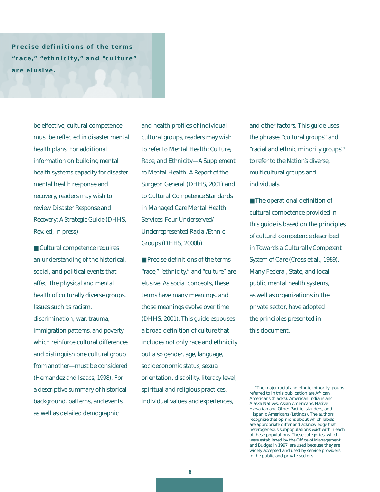**Precise definitions of the terms "race," "ethnicity," and "culture" are elusive.**

> be effective, cultural competence must be reflected in disaster mental health plans. For additional information on building mental health systems capacity for disaster mental health response and recovery, readers may wish to review *Disaster Response and Recovery: A Strategic Guide* (DHHS, Rev. ed, in press).

> ■ Cultural competence requires an understanding of the historical, social, and political events that affect the physical and mental health of culturally diverse groups. Issues such as racism, discrimination, war, trauma, immigration patterns, and poverty which reinforce cultural differences and distinguish one cultural group from another—must be considered (Hernandez and Isaacs, 1998). For a descriptive summary of historical background, patterns, and events, as well as detailed demographic

and health profiles of individual cultural groups, readers may wish to refer to *Mental Health: Culture, Race, and Ethnicity—A Supplement to Mental Health: A Report of the Surgeon General* (DHHS, 2001) and to *Cultural Competence Standards in Managed Care Mental Health Services: Four Underserved/ Underrepresented Racial/Ethnic Groups* (DHHS, 2000b).

■ Precise definitions of the terms "race," "ethnicity," and "culture" are elusive. As social concepts, these terms have many meanings, and those meanings evolve over time (DHHS, 2001). This guide espouses a broad definition of culture that includes not only race and ethnicity but also gender, age, language, socioeconomic status, sexual orientation, disability, literacy level, spiritual and religious practices, individual values and experiences,

and other factors. This guide uses the phrases "cultural groups" and "racial and ethnic minority groups"1 to refer to the Nation's diverse, multicultural groups and individuals.

■ The operational definition of cultural competence provided in this guide is based on the principles of cultural competence described in *Towards a Culturally Competent System of Care* (Cross et al., 1989). Many Federal, State, and local public mental health systems, as well as organizations in the private sector, have adopted the principles presented in this document.

<sup>&</sup>lt;sup>1</sup>The major racial and ethnic minority groups referred to in this publication are African Americans (blacks), American Indians and Alaska Natives, Asian Americans, Native Hawaiian and Other Pacific Islanders, and Hispanic Americans (Latinos). The authors recognize that opinions about which labels are appropriate differ and acknowledge that heterogeneous subpopulations exist within each of these populations. These categories, which were established by the Office of Management and Budget in 1997, are used because they are widely accepted and used by service providers in the public and private sectors.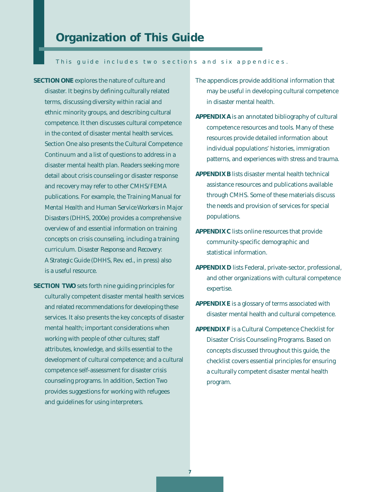# **Organization of This Guide**

#### This guide includes two sections and six appendices.

- **SECTION ONE** explores the nature of culture and disaster. It begins by defining culturally related terms, discussing diversity within racial and ethnic minority groups, and describing cultural competence. It then discusses cultural competence in the context of disaster mental health services. Section One also presents the Cultural Competence Continuum and a list of questions to address in a disaster mental health plan. Readers seeking more detail about crisis counseling or disaster response and recovery may refer to other CMHS/FEMA publications. For example, the *Training Manual for Mental Health and Human Service Workers in Major Disasters* (DHHS, 2000e) provides a comprehensive overview of and essential information on training concepts on crisis counseling, including a training curriculum. *Disaster Response and Recovery: A Strategic Guide* (DHHS, Rev. ed., in press) also is a useful resource.
- **SECTION TWO** sets forth nine guiding principles for culturally competent disaster mental health services and related recommendations for developing these services. It also presents the key concepts of disaster mental health; important considerations when working with people of other cultures; staff attributes, knowledge, and skills essential to the development of cultural competence; and a cultural competence self-assessment for disaster crisis counseling programs. In addition, Section Two provides suggestions for working with refugees and guidelines for using interpreters.
- The appendices provide additional information that may be useful in developing cultural competence in disaster mental health.
- **APPENDIX A** is an annotated bibliography of cultural competence resources and tools. Many of these resources provide detailed information about individual populations' histories, immigration patterns, and experiences with stress and trauma.
- **APPENDIX B** lists disaster mental health technical assistance resources and publications available through CMHS. Some of these materials discuss the needs and provision of services for special populations.
- **APPENDIX C** lists online resources that provide community-specific demographic and statistical information.
- **APPENDIX D** lists Federal, private-sector, professional, and other organizations with cultural competence expertise.
- **APPENDIX E** is a glossary of terms associated with disaster mental health and cultural competence.
- **APPENDIX F** is a Cultural Competence Checklist for Disaster Crisis Counseling Programs. Based on concepts discussed throughout this guide, the checklist covers essential principles for ensuring a culturally competent disaster mental health program.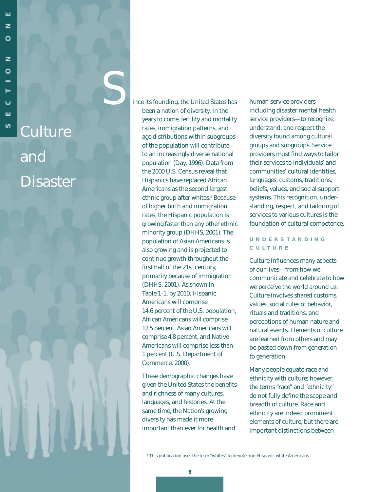**Culture** and Disaster

been a nation of diversity. In the years to come, fertility and mortality rates, immigration patterns, and age distributions within subgroups of the population will contribute to an increasingly diverse national population (Day, 1996). Data from the 2000 U.S. Census reveal that Hispanics have replaced African Americans as the second largest ethnic group after whites.<sup>2</sup> Because of higher birth and immigration rates, the Hispanic population is growing faster than any other ethnic minority group (DHHS, 2001). The population of Asian Americans is also growing and is projected to continue growth throughout the first half of the 21st century, primarily because of immigration (DHHS, 2001). As shown in Table 1-1, by 2010, Hispanic Americans will comprise 14.6 percent of the U.S. population, African Americans will comprise 12.5 percent, Asian Americans will comprise 4.8 percent, and Native Americans will comprise less than 1 percent (U.S. Department of Commerce, 2000). ince its founding, the United States has

These demographic changes have given the United States the benefits and richness of many cultures, languages, and histories. At the same time, the Nation's growing diversity has made it more important than ever for health and

human service providers including disaster mental health service providers—to recognize, understand, and respect the diversity found among cultural groups and subgroups. Service providers must find ways to tailor their services to individuals' and communities' cultural identities, languages, customs, traditions, beliefs, values, and social support systems. This recognition, understanding, respect, and tailoring of services to various cultures is the foundation of cultural competence.

#### **UNDERSTANDING CULTURE**

Culture influences many aspects of our lives—from how we communicate and celebrate to how we perceive the world around us. Culture involves shared customs, values, social rules of behavior, rituals and traditions, and perceptions of human nature and natural events. Elements of culture are learned from others and may be passed down from generation to generation.

Many people equate race and ethnicity with culture; however, the terms "race" and "ethnicity" do not fully define the scope and breadth of culture. Race and ethnicity are indeed prominent elements of culture, but there are important distinctions between

<sup>&</sup>lt;sup>2</sup> This publication uses the term "whites" to denote non-Hispanic white Americans.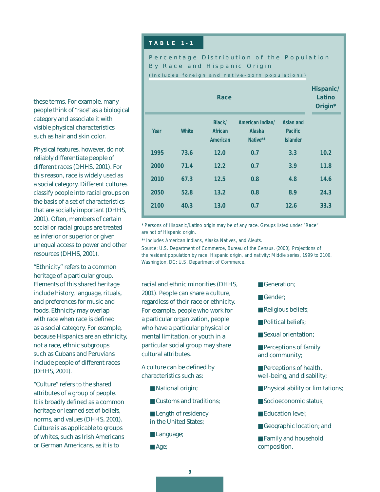#### **TABLE 1-1**

Percentage Distribution of the Population By Race and Hispanic Origin (Includes foreign and native-born populations)

these terms. For example, many people think of "race" as a biological category and associate it with visible physical characteristics such as hair and skin color.

Physical features, however, do not reliably differentiate people of different races (DHHS, 2001). For this reason, race is widely used as a social category. Different cultures classify people into racial groups on the basis of a set of characteristics that are socially important (DHHS, 2001). Often, members of certain social or racial groups are treated as inferior or superior or given unequal access to power and other resources (DHHS, 2001).

"Ethnicity" refers to a common heritage of a particular group. Elements of this shared heritage include history, language, rituals, and preferences for music and foods. Ethnicity may overlap with race when race is defined as a social category. For example, because Hispanics are an ethnicity, not a race, ethnic subgroups such as Cubans and Peruvians include people of different races (DHHS, 2001).

"Culture" refers to the shared attributes of a group of people. It is broadly defined as a common heritage or learned set of beliefs, norms, and values (DHHS, 2001). Culture is as applicable to groups of whites, such as Irish Americans or German Americans, as it is to

| Race |              |                                      |                                               | Hispanic/<br>Latino<br>Origin*                        |      |
|------|--------------|--------------------------------------|-----------------------------------------------|-------------------------------------------------------|------|
| Year | <b>White</b> | Black/<br><b>African</b><br>American | American Indian/<br><b>Alaska</b><br>Native** | <b>Asian and</b><br><b>Pacific</b><br><b>Islander</b> |      |
| 1995 | 73.6         | 12.0                                 | 0.7                                           | 3.3                                                   | 10.2 |
| 2000 | 71.4         | 12.2                                 | 0.7                                           | 3.9                                                   | 11.8 |
| 2010 | 67.3         | 12.5                                 | 0.8                                           | 4.8                                                   | 14.6 |
| 2050 | 52.8         | 13.2                                 | 0.8                                           | 8.9                                                   | 24.3 |
| 2100 | 40.3         | 13.0                                 | 0.7                                           | 12.6                                                  | 33.3 |

\* Persons of Hispanic/Latino origin may be of any race. Groups listed under "Race" are not of Hispanic origin.

\*\* Includes American Indians, Alaska Natives, and Aleuts.

*Source:* U.S. Department of Commerce, Bureau of the Census. (2000). Projections of the resident population by race, Hispanic origin, and nativity: Middle series, 1999 to 2100. Washington, DC: U.S. Department of Commerce.

racial and ethnic minorities (DHHS, 2001). People can share a culture, regardless of their race or ethnicity. For example, people who work for a particular organization, people who have a particular physical or mental limitation, or youth in a particular social group may share cultural attributes.

A culture can be defined by characteristics such as:

- National origin;
- Customs and traditions;
- Length of residency in the United States;
- Language;
- Age;
- Generation:
- Gender:
- Religious beliefs;
- Political beliefs:
- Sexual orientation:
- Perceptions of family and community;
- Perceptions of health, well-being, and disability;
- Physical ability or limitations;
- Socioeconomic status:
- Education level:
- Geographic location; and
- Family and household composition.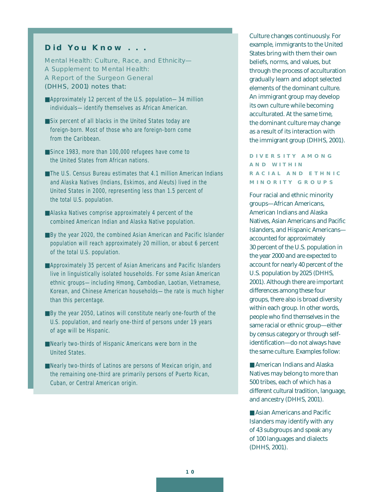## **Did You Know . . .**

Mental Health: Culture, Race, and Ethnicity— A Supplement to Mental Health: A Report of the Surgeon General (DHHS, 2001) notes that:

- Approximately 12 percent of the U.S. population–34 million individuals—identify themselves as African American.
- Six percent of all blacks in the United States today are foreign-born. Most of those who are foreign-born come from the Caribbean.
- Since 1983, more than 100,000 refugees have come to the United States from African nations.
- The U.S. Census Bureau estimates that 4.1 million American Indians and Alaska Natives (Indians, Eskimos, and Aleuts) lived in the United States in 2000, representing less than 1.5 percent of the total U.S. population.
- Alaska Natives comprise approximately 4 percent of the combined American Indian and Alaska Native population.
- By the year 2020, the combined Asian American and Pacific Islander population will reach approximately 20 million, or about 6 percent of the total U.S. population.
- Approximately 35 percent of Asian Americans and Pacific Islanders live in linguistically isolated households. For some Asian American ethnic groups—including Hmong, Cambodian, Laotian, Vietnamese, Korean, and Chinese American households—the rate is much higher than this percentage.
- By the year 2050, Latinos will constitute nearly one-fourth of the U.S. population, and nearly one-third of persons under 19 years of age will be Hispanic.
- Nearly two-thirds of Hispanic Americans were born in the United States.
- Nearly two-thirds of Latinos are persons of Mexican origin, and the remaining one-third are primarily persons of Puerto Rican, Cuban, or Central American origin.

Culture changes continuously. For example, immigrants to the United States bring with them their own beliefs, norms, and values, but through the process of acculturation gradually learn and adopt selected elements of the dominant culture. An immigrant group may develop its own culture while becoming acculturated. At the same time, the dominant culture may change as a result of its interaction with the immigrant group (DHHS, 2001).

## **DIVERSITY AMONG AND WITHIN RACIAL AND ETHNIC MINORITY GROUPS**

Four racial and ethnic minority groups—African Americans, American Indians and Alaska Natives, Asian Americans and Pacific Islanders, and Hispanic Americans accounted for approximately 30 percent of the U.S. population in the year 2000 and are expected to account for nearly 40 percent of the U.S. population by 2025 (DHHS, 2001). Although there are important differences among these four groups, there also is broad diversity within each group. In other words, people who find themselves in the same racial or ethnic group—either by census category or through selfidentification—do not always have the same culture. Examples follow:

■ American Indians and Alaska Natives may belong to more than 500 tribes, each of which has a different cultural tradition, language, and ancestry (DHHS, 2001).

■ Asian Americans and Pacific Islanders may identify with any of 43 subgroups and speak any of 100 languages and dialects (DHHS, 2001).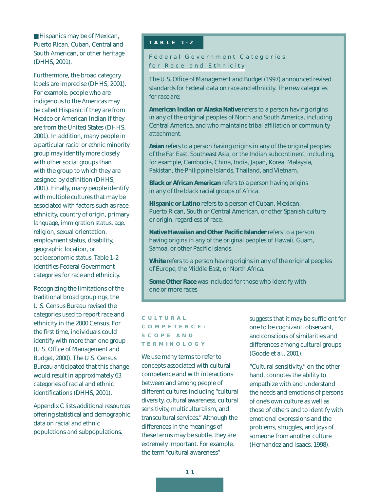■ Hispanics may be of Mexican, Puerto Rican, Cuban, Central and South American, or other heritage (DHHS, 2001).

Furthermore, the broad category labels are imprecise (DHHS, 2001). For example, people who are indigenous to the Americas may be called Hispanic if they are from Mexico or American Indian if they are from the United States (DHHS, 2001). In addition, many people in a particular racial or ethnic minority group may identify more closely with other social groups than with the group to which they are assigned by definition (DHHS, 2001). Finally, many people identify with multiple cultures that may be associated with factors such as race, ethnicity, country of origin, primary language, immigration status, age, religion, sexual orientation, employment status, disability, geographic location, or socioeconomic status. Table 1-2 identifies Federal Government categories for race and ethnicity.

Recognizing the limitations of the traditional broad groupings, the U.S. Census Bureau revised the categories used to report race and ethnicity in the 2000 Census. For the first time, individuals could identify with more than one group (U.S. Office of Management and Budget, 2000). The U.S. Census Bureau anticipated that this change would result in approximately 63 categories of racial and ethnic identifications (DHHS, 2001).

Appendix C lists additional resources offering statistical and demographic data on racial and ethnic populations and subpopulations.

#### **TABLE 1-2**

### Federal Government Categories for Race and Ethnicity

*The U.S. Office of Management and Budget (1997) announced revised standards for Federal data on race and ethnicity. The new categories for race are:*

**American Indian or Alaska Native** refers to a person having origins in any of the original peoples of North and South America, including Central America, and who maintains tribal affiliation or community attachment.

**Asian** refers to a person having origins in any of the original peoples of the Far East, Southeast Asia, or the Indian subcontinent, including, for example, Cambodia, China, India, Japan, Korea, Malaysia, Pakistan, the Philippine Islands, Thailand, and Vietnam.

**Black or African American** refers to a person having origins in any of the black racial groups of Africa.

**Hispanic or Latino** refers to a person of Cuban, Mexican, Puerto Rican, South or Central American, or other Spanish culture or origin, regardless of race.

**Native Hawaiian and Other Pacific Islander** refers to a person having origins in any of the original peoples of Hawaii, Guam, Samoa, or other Pacific Islands.

**White** refers to a person having origins in any of the original peoples of Europe, the Middle East, or North Africa.

**Some Other Race** was included for those who identify with one or more races.

## **CULTURAL COMPETENCE: SCOPE AND TERMINOLOGY**

We use many terms to refer to concepts associated with cultural competence and with interactions between and among people of different cultures including "cultural diversity, cultural awareness, cultural sensitivity, multiculturalism, and transcultural services." Although the differences in the meanings of these terms may be subtle, they are extremely important. For example, the term "cultural awareness"

suggests that it may be sufficient for one to be cognizant, observant, and conscious of similarities and differences among cultural groups (Goode et al., 2001).

"Cultural sensitivity," on the other hand, connotes the ability to empathize with and understand the needs and emotions of persons of one's own culture as well as those of others and to identify with emotional expressions and the problems, struggles, and joys of someone from another culture (Hernandez and Isaacs, 1998).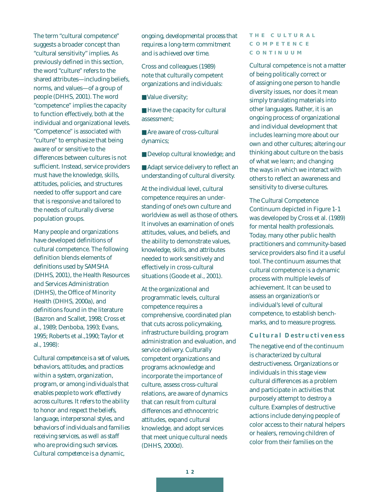The term "cultural competence" suggests a broader concept than "cultural sensitivity" implies. As previously defined in this section, the word "culture" refers to the shared attributes—including beliefs, norms, and values—of a group of people (DHHS, 2001). The word "competence" implies the capacity to function effectively, both at the individual and organizational levels. "Competence" is associated with "culture" to emphasize that being aware of or sensitive to the differences between cultures is not sufficient. Instead, service providers must have the knowledge, skills, attitudes, policies, and structures needed to offer support and care that is responsive and tailored to the needs of culturally diverse population groups.

Many people and organizations have developed definitions of cultural competence. The following definition blends elements of definitions used by SAMSHA (DHHS, 2001), the Health Resources and Services Administration (DHHS), the Office of Minority Health (DHHS, 2000a), and definitions found in the literature (Bazron and Scallet, 1998; Cross et al., 1989; Denboba, 1993; Evans, 1995; Roberts et al.,1990; Taylor et al., 1998):

*Cultural competence is a set of values, behaviors, attitudes, and practices within a system, organization, program, or among individuals that enables people to work effectively across cultures. It refers to the ability to honor and respect the beliefs, language, interpersonal styles, and behaviors of individuals and families receiving services, as well as staff who are providing such services. Cultural competence is a dynamic,*

*ongoing, developmental process that requires a long-term commitment and is achieved over time.*

Cross and colleagues (1989) note that culturally competent organizations and individuals:

■ Value diversity;

■ Have the capacity for cultural assessment;

■ Are aware of cross-cultural dynamics;

■ Develop cultural knowledge; and

■ Adapt service delivery to reflect an understanding of cultural diversity.

At the individual level, cultural competence requires an understanding of one's own culture and worldview as well as those of others. It involves an examination of one's attitudes, values, and beliefs, and the ability to demonstrate values, knowledge, skills, and attributes needed to work sensitively and effectively in cross-cultural situations (Goode et al., 2001).

At the organizational and programmatic levels, cultural competence requires a comprehensive, coordinated plan that cuts across policymaking, infrastructure building, program administration and evaluation, and service delivery. Culturally competent organizations and programs acknowledge and incorporate the importance of culture, assess cross-cultural relations, are aware of dynamics that can result from cultural differences and ethnocentric attitudes, expand cultural knowledge, and adopt services that meet unique cultural needs (DHHS, 2000d).

## **THE CULTURAL COMPETENCE CONTINUUM**

Cultural competence is not a matter of being politically correct or of assigning one person to handle diversity issues, nor does it mean simply translating materials into other languages. Rather, it is an ongoing process of organizational and individual development that includes learning more about our own and other cultures; altering our thinking about culture on the basis of what we learn; and changing the ways in which we interact with others to reflect an awareness and sensitivity to diverse cultures.

The Cultural Competence Continuum depicted in Figure 1-1 was developed by Cross et al. (1989) for mental health professionals. Today, many other public health practitioners and community-based service providers also find it a useful tool. The continuum assumes that cultural competence is a dynamic process with multiple levels of achievement. It can be used to assess an organization's or individual's level of cultural competence, to establish benchmarks, and to measure progress.

#### *Cultural Destructiveness*

The negative end of the continuum is characterized by cultural destructiveness. Organizations or individuals in this stage view cultural differences as a problem and participate in activities that purposely attempt to destroy a culture. Examples of destructive actions include denying people of color access to their natural helpers or healers, removing children of color from their families on the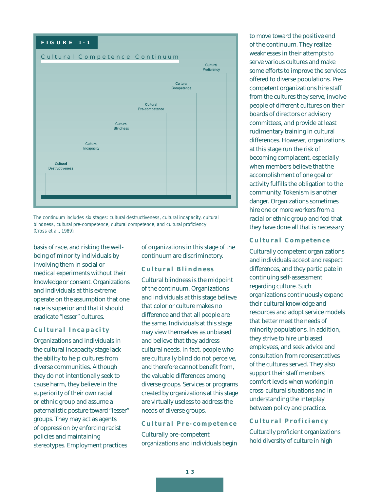

The continuum includes six stages: cultural destructiveness, cultural incapacity, cultural blindness, cultural pre-competence, cultural competence, and cultural proficiency (Cross et al., 1989).

basis of race, and risking the wellbeing of minority individuals by involving them in social or medical experiments without their knowledge or consent. Organizations and individuals at this extreme operate on the assumption that one race is superior and that it should eradicate "lesser" cultures.

## *Cultural Incapacity*

Organizations and individuals in the cultural incapacity stage lack the ability to help cultures from diverse communities. Although they do not intentionally seek to cause harm, they believe in the superiority of their own racial or ethnic group and assume a paternalistic posture toward "lesser" groups. They may act as agents of oppression by enforcing racist policies and maintaining stereotypes. Employment practices

of organizations in this stage of the continuum are discriminatory.

#### *Cultural Blindness*

Cultural blindness is the midpoint of the continuum. Organizations and individuals at this stage believe that color or culture makes no difference and that all people are the same. Individuals at this stage may view themselves as unbiased and believe that they address cultural needs. In fact, people who are culturally blind do not perceive, and therefore cannot benefit from, the valuable differences among diverse groups. Services or programs created by organizations at this stage are virtually useless to address the needs of diverse groups.

## *Cultural Pre-competence*

Culturally pre-competent organizations and individuals begin to move toward the positive end of the continuum. They realize weaknesses in their attempts to serve various cultures and make some efforts to improve the services offered to diverse populations. Precompetent organizations hire staff from the cultures they serve, involve people of different cultures on their boards of directors or advisory committees, and provide at least rudimentary training in cultural differences. However, organizations at this stage run the risk of becoming complacent, especially when members believe that the accomplishment of one goal or activity fulfills the obligation to the community. Tokenism is another danger. Organizations sometimes hire one or more workers from a racial or ethnic group and feel that they have done all that is necessary.

#### *Cultural Competence*

Culturally competent organizations and individuals accept and respect differences, and they participate in continuing self-assessment regarding culture. Such organizations continuously expand their cultural knowledge and resources and adopt service models that better meet the needs of minority populations. In addition, they strive to hire unbiased employees, and seek advice and consultation from representatives of the cultures served. They also support their staff members' comfort levels when working in cross-cultural situations and in understanding the interplay between policy and practice.

## *Cultural Proficiency*

Culturally proficient organizations hold diversity of culture in high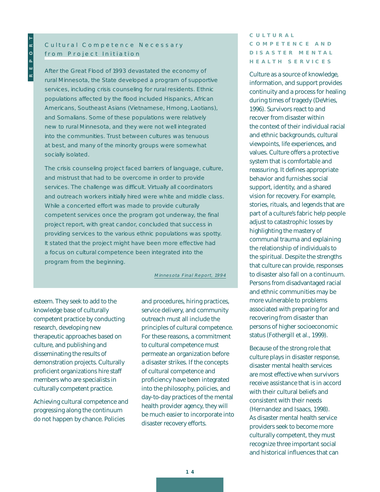## Cultural Competence Necessary from Project Initiation

After the Great Flood of 1993 devastated the economy of rural Minnesota, the State developed a program of supportive services, including crisis counseling for rural residents. Ethnic populations affected by the flood included Hispanics, African Americans, Southeast Asians (Vietnamese, Hmong, Laotians), and Somalians. Some of these populations were relatively new to rural Minnesota, and they were not well integrated into the communities. Trust between cultures was tenuous at best, and many of the minority groups were somewhat socially isolated.

The crisis counseling project faced barriers of language, culture, and mistrust that had to be overcome in order to provide services. The challenge was difficult. Virtually all coordinators and outreach workers initially hired were white and middle class. While a concerted effort was made to provide culturally competent services once the program got underway, the final project report, with great candor, concluded that success in providing services to the various ethnic populations was spotty. It stated that the project might have been more effective had a focus on cultural competence been integrated into the program from the beginning.

Minnesota Final Report, 1994

esteem. They seek to add to the knowledge base of culturally competent practice by conducting research, developing new therapeutic approaches based on culture, and publishing and disseminating the results of demonstration projects. Culturally proficient organizations hire staff members who are specialists in culturally competent practice.

Achieving cultural competence and progressing along the continuum do not happen by chance. Policies

and procedures, hiring practices, service delivery, and community outreach must all include the principles of cultural competence. For these reasons, a commitment to cultural competence must permeate an organization before a disaster strikes. If the concepts of cultural competence and proficiency have been integrated into the philosophy, policies, and day-to-day practices of the mental health provider agency, they will be much easier to incorporate into disaster recovery efforts.

## **CULTURAL COMPETENCE AND DISASTER MENTAL HEALTH SERVICES**

Culture as a source of knowledge, information, and support provides continuity and a process for healing during times of tragedy (DeVries, 1996). Survivors react to and recover from disaster within the context of their individual racial and ethnic backgrounds, cultural viewpoints, life experiences, and values. Culture offers a protective system that is comfortable and reassuring. It defines appropriate behavior and furnishes social support, identity, and a shared vision for recovery. For example, stories, rituals, and legends that are part of a culture's fabric help people adjust to catastrophic losses by highlighting the mastery of communal trauma and explaining the relationship of individuals to the spiritual. Despite the strengths that culture can provide, responses to disaster also fall on a continuum. Persons from disadvantaged racial and ethnic communities may be more vulnerable to problems associated with preparing for and recovering from disaster than persons of higher socioeconomic status (Fothergill et al., 1999).

Because of the strong role that culture plays in disaster response, disaster mental health services are most effective when survivors receive assistance that is in accord with their cultural beliefs and consistent with their needs (Hernandez and Isaacs, 1998). As disaster mental health service providers seek to become more culturally competent, they must recognize three important social and historical influences that can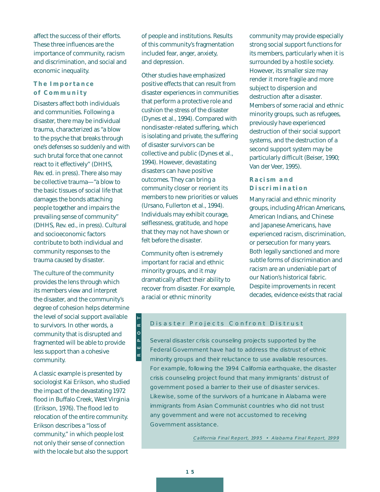affect the success of their efforts. These three influences are the importance of community, racism and discrimination, and social and economic inequality.

## *The Importance of Community*

Disasters affect both individuals and communities. Following a disaster, there may be individual trauma, characterized as "a blow to the psyche that breaks through one's defenses so suddenly and with such brutal force that one cannot react to it effectively" (DHHS, Rev. ed. in press). There also may be collective trauma—"a blow to the basic tissues of social life that damages the bonds attaching people together and impairs the prevailing sense of community" (DHHS, Rev. ed., in press). Cultural and socioeconomic factors contribute to both individual and community responses to the trauma caused by disaster.

The culture of the community provides the lens through which its members view and interpret the disaster, and the community's degree of cohesion helps determine the level of social support available to survivors. In other words, a community that is disrupted and fragmented will be able to provide less support than a cohesive community.

A classic example is presented by sociologist Kai Erikson, who studied the impact of the devastating 1972 flood in Buffalo Creek, West Virginia (Erikson, 1976). The flood led to relocation of the entire community. Erikson describes a "loss of community," in which people lost not only their sense of connection with the locale but also the support

of people and institutions. Results of this community's fragmentation included fear, anger, anxiety, and depression.

Other studies have emphasized positive effects that can result from disaster experiences in communities that perform a protective role and cushion the stress of the disaster (Dynes et al., 1994). Compared with nondisaster-related suffering, which is isolating and private, the suffering of disaster survivors can be collective and public (Dynes et al., 1994). However, devastating disasters can have positive outcomes. They can bring a community closer or reorient its members to new priorities or values (Ursano, Fullerton et al., 1994). Individuals may exhibit courage, selflessness, gratitude, and hope that they may not have shown or felt before the disaster.

Community often is extremely important for racial and ethnic minority groups, and it may dramatically affect their ability to recover from disaster. For example, a racial or ethnic minority

**REPORT**

 $\alpha$  $\overline{a}$ u,  $\vert \mathbf{a} \vert$  community may provide especially strong social support functions for its members, particularly when it is surrounded by a hostile society. However, its smaller size may render it more fragile and more subject to dispersion and destruction after a disaster. Members of some racial and ethnic minority groups, such as refugees, previously have experienced destruction of their social support systems, and the destruction of a second support system may be particularly difficult (Beiser, 1990; Van der Veer, 1995).

## *Racism and Discrimination*

Many racial and ethnic minority groups, including African Americans, American Indians, and Chinese and Japanese Americans, have experienced racism, discrimination, or persecution for many years. Both legally sanctioned and more subtle forms of discrimination and racism are an undeniable part of our Nation's historical fabric. Despite improvements in recent decades, evidence exists that racial

## Disaster Projects Confront Distrust

Several disaster crisis counseling projects supported by the Federal Government have had to address the distrust of ethnic minority groups and their reluctance to use available resources. For example, following the 1994 California earthquake, the disaster crisis counseling project found that many immigrants' distrust of government posed a barrier to their use of disaster services. Likewise, some of the survivors of a hurricane in Alabama were immigrants from Asian Communist countries who did not trust any government and were not accustomed to receiving Government assistance.

California Final Report, 1995 • Alabama Final Report, 1999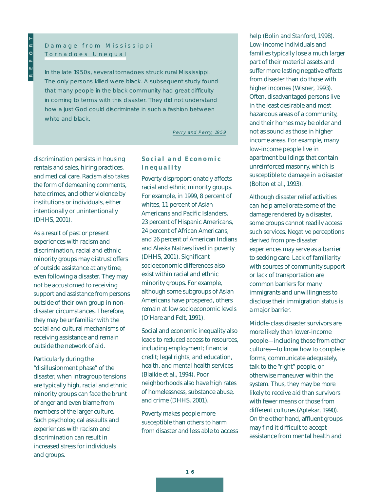## Damage from Mississippi Tornadoes Unequal

In the late 1950s, several tornadoes struck rural Mississippi. The only persons killed were black. A subsequent study found that many people in the black community had great difficulty in coming to terms with this disaster. They did not understand how a just God could discriminate in such a fashion between white and black.

Perry and Perry, 1959

discrimination persists in housing rentals and sales, hiring practices, and medical care. Racism also takes the form of demeaning comments, hate crimes, and other violence by institutions or individuals, either intentionally or unintentionally (DHHS, 2001).

As a result of past or present experiences with racism and discrimination, racial and ethnic minority groups may distrust offers of outside assistance at any time, even following a disaster. They may not be accustomed to receiving support and assistance from persons outside of their own group in nondisaster circumstances. Therefore, they may be unfamiliar with the social and cultural mechanisms of receiving assistance and remain outside the network of aid.

Particularly during the "disillusionment phase" of the disaster, when intragroup tensions are typically high, racial and ethnic minority groups can face the brunt of anger and even blame from members of the larger culture. Such psychological assaults and experiences with racism and discrimination can result in increased stress for individuals and groups.

## *Social and Economic Inequality*

Poverty disproportionately affects racial and ethnic minority groups. For example, in 1999, 8 percent of whites, 11 percent of Asian Americans and Pacific Islanders, 23 percent of Hispanic Americans, 24 percent of African Americans, and 26 percent of American Indians and Alaska Natives lived in poverty (DHHS, 2001). Significant socioeconomic differences also exist within racial and ethnic minority groups. For example, although some subgroups of Asian Americans have prospered, others remain at low socioeconomic levels (O'Hare and Felt, 1991).

Social and economic inequality also leads to reduced access to resources, including employment; financial credit; legal rights; and education, health, and mental health services (Blaikie et al., 1994). Poor neighborhoods also have high rates of homelessness, substance abuse, and crime (DHHS, 2001).

Poverty makes people more susceptible than others to harm from disaster and less able to access help (Bolin and Stanford, 1998). Low-income individuals and families typically lose a much larger part of their material assets and suffer more lasting negative effects from disaster than do those with higher incomes (Wisner, 1993). Often, disadvantaged persons live in the least desirable and most hazardous areas of a community, and their homes may be older and not as sound as those in higher income areas. For example, many low-income people live in apartment buildings that contain unreinforced masonry, which is susceptible to damage in a disaster (Bolton et al., 1993).

Although disaster relief activities can help ameliorate some of the damage rendered by a disaster, some groups cannot readily access such services. Negative perceptions derived from pre-disaster experiences may serve as a barrier to seeking care. Lack of familiarity with sources of community support or lack of transportation are common barriers for many immigrants and unwillingness to disclose their immigration status is a major barrier.

Middle-class disaster survivors are more likely than lower-income people—including those from other cultures—to know how to complete forms, communicate adequately, talk to the "right" people, or otherwise maneuver within the system. Thus, they may be more likely to receive aid than survivors with fewer means or those from different cultures (Aptekar, 1990). On the other hand, affluent groups may find it difficult to accept assistance from mental health and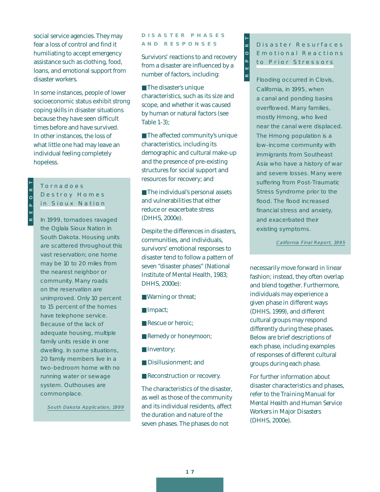social service agencies. They may fear a loss of control and find it humiliating to accept emergency assistance such as clothing, food, loans, and emotional support from disaster workers.

In some instances, people of lower socioeconomic status exhibit strong coping skills in disaster situations because they have seen difficult times before and have survived. In other instances, the loss of what little one had may leave an individual feeling completely hopeless.

#### **REPORT**  $\alpha$  $\circ$  $\Delta$ Ш  $\underline{\alpha}$

## Tornadoes Destroy Homes in Sioux Nation

In 1999, tornadoes ravaged the Oglala Sioux Nation in South Dakota. Housing units are scattered throughout this vast reservation; one home may be 10 to 20 miles from the nearest neighbor or community. Many roads on the reservation are unimproved. Only 10 percent to 15 percent of the homes have telephone service. Because of the lack of adequate housing, multiple family units reside in one dwelling. In some situations, 20 family members live in a two-bedroom home with no running water or sewage system. Outhouses are commonplace.

South Dakota Application, 1999

## **DISASTER PHASES AND RESPONSES**

Survivors' reactions to and recovery from a disaster are influenced by a number of factors, including:

■ The disaster's unique characteristics, such as its size and scope, and whether it was caused by human or natural factors (see Table 1-3);

■ The affected community's unique characteristics, including its demographic and cultural make-up and the presence of pre-existing structures for social support and resources for recovery; and

■ The individual's personal assets and vulnerabilities that either reduce or exacerbate stress (DHHS, 2000e).

Despite the differences in disasters, communities, and individuals, survivors' emotional responses to disaster tend to follow a pattern of seven "disaster phases" (National Institute of Mental Health, 1983; DHHS, 2000e):

- Warning or threat;
- Impact;
- Rescue or heroic:
- Remedy or honeymoon;
- Inventory;
- Disillusionment: and
- Reconstruction or recovery.

The characteristics of the disaster, as well as those of the community and its individual residents, affect the duration and nature of the seven phases. The phases do not

## Disaster Resurfaces Emotional Reactions to Prior Stressors

**REPORT**

 $\alpha$  $\circ$  $\Delta$ ш  $\alpha$ 

Flooding occurred in Clovis, California, in 1995, when a canal and ponding basins overflowed. Many families, mostly Hmong, who lived near the canal were displaced. The Hmong population is a low-income community with immigrants from Southeast Asia who have a history of war and severe losses. Many were suffering from Post-Traumatic Stress Syndrome prior to the flood. The flood increased financial stress and anxiety, and exacerbated their existing symptoms.

California Final Report, 1995

necessarily move forward in linear fashion; instead, they often overlap and blend together. Furthermore, individuals may experience a given phase in different ways (DHHS, 1999), and different cultural groups may respond differently during these phases. Below are brief descriptions of each phase, including examples of responses of different cultural groups during each phase.

For further information about disaster characteristics and phases, refer to the *Training Manual for Mental Health and Human Service Workers in Major Disasters* (DHHS, 2000e).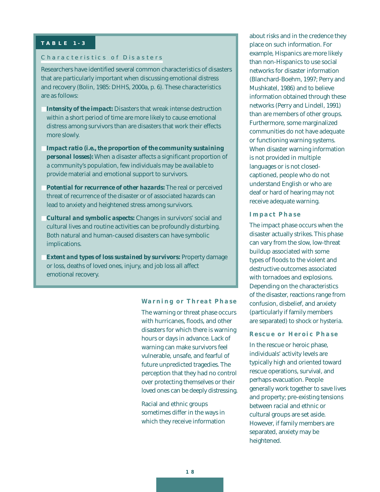## **TABLE 1-3**

#### Characteristics of Disasters

Researchers have identified several common characteristics of disasters that are particularly important when discussing emotional distress and recovery (Bolin, 1985: DHHS, 2000a, p. 6). These characteristics are as follows:

- **Intensity of the impact:** Disasters that wreak intense destruction within a short period of time are more likely to cause emotional distress among survivors than are disasters that work their effects more slowly.
- ■*Impact ratio (i.e., the proportion of the community sustaining personal losses):* When a disaster affects a significant proportion of a community's population, few individuals may be available to provide material and emotional support to survivors.
- **Potential for recurrence of other hazards:** The real or perceived threat of recurrence of the disaster or of associated hazards can lead to anxiety and heightened stress among survivors.
- **Cultural and symbolic aspects:** Changes in survivors' social and cultural lives and routine activities can be profoundly disturbing. Both natural and human-caused disasters can have symbolic implications.
- *Extent and types of loss sustained by survivors: Property damage* or loss, deaths of loved ones, injury, and job loss all affect emotional recovery.

#### *Warning or Threat Phase*

The warning or threat phase occurs with hurricanes, floods, and other disasters for which there is warning hours or days in advance. Lack of warning can make survivors feel vulnerable, unsafe, and fearful of future unpredicted tragedies. The perception that they had no control over protecting themselves or their loved ones can be deeply distressing.

Racial and ethnic groups sometimes differ in the ways in which they receive information about risks and in the credence they place on such information. For example, Hispanics are more likely than non-Hispanics to use social networks for disaster information (Blanchard-Boehm, 1997; Perry and Mushkatel, 1986) and to believe information obtained through these networks (Perry and Lindell, 1991) than are members of other groups. Furthermore, some marginalized communities do not have adequate or functioning warning systems. When disaster warning information is not provided in multiple languages or is not closedcaptioned, people who do not understand English or who are deaf or hard of hearing may not receive adequate warning.

#### *Impact Phase*

The impact phase occurs when the disaster actually strikes. This phase can vary from the slow, low-threat buildup associated with some types of floods to the violent and destructive outcomes associated with tornadoes and explosions. Depending on the characteristics of the disaster, reactions range from confusion, disbelief, and anxiety (particularly if family members are separated) to shock or hysteria.

#### *Rescue or Heroic Phase*

In the rescue or heroic phase, individuals' activity levels are typically high and oriented toward rescue operations, survival, and perhaps evacuation. People generally work together to save lives and property; pre-existing tensions between racial and ethnic or cultural groups are set aside. However, if family members are separated, anxiety may be heightened.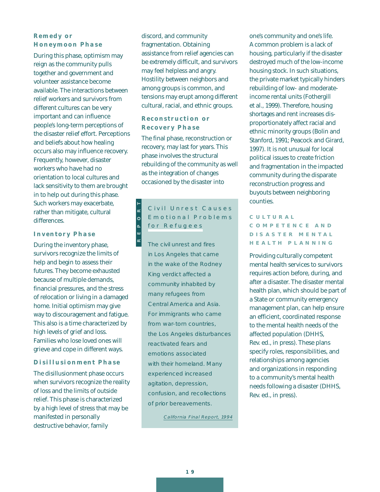## *Remedy or Honeymoon Phase*

During this phase, optimism may reign as the community pulls together and government and volunteer assistance become available. The interactions between relief workers and survivors from different cultures can be very important and can influence people's long-term perceptions of the disaster relief effort. Perceptions and beliefs about how healing occurs also may influence recovery. Frequently, however, disaster workers who have had no orientation to local cultures and lack sensitivity to them are brought in to help out during this phase. Such workers may exacerbate, rather than mitigate, cultural differences.

## *Inventory Phase*

During the inventory phase, survivors recognize the limits of help and begin to assess their futures. They become exhausted because of multiple demands, financial pressures, and the stress of relocation or living in a damaged home. Initial optimism may give way to discouragement and fatigue. This also is a time characterized by high levels of grief and loss. Families who lose loved ones will grieve and cope in different ways.

#### *Disillusionment Phase*

The disillusionment phase occurs when survivors recognize the reality of loss and the limits of outside relief. This phase is characterized by a high level of stress that may be manifested in personally destructive behavior, family

discord, and community fragmentation. Obtaining assistance from relief agencies can be extremely difficult, and survivors may feel helpless and angry. Hostility between neighbors and among groups is common, and tensions may erupt among different cultural, racial, and ethnic groups.

## *Reconstruction or Recovery Phase*

The final phase, reconstruction or recovery, may last for years. This phase involves the structural rebuilding of the community as well as the integration of changes occasioned by the disaster into

## Civil Unrest Causes Emotional Problems for Refugees

**REPORT**

 $\alpha$ 

 $\alpha$  $\circ$  $\Delta$ 

> The civil unrest and fires in Los Angeles that came in the wake of the Rodney King verdict affected a community inhabited by many refugees from Central America and Asia. For immigrants who came from war-torn countries, the Los Angeles disturbances reactivated fears and emotions associated with their homeland. Many experienced increased agitation, depression, confusion, and recollections of prior bereavements.

> > California Final Report, 1994

one's community and one's life. A common problem is a lack of housing, particularly if the disaster destroyed much of the low-income housing stock. In such situations, the private market typically hinders rebuilding of low- and moderateincome rental units (Fothergill et al., 1999). Therefore, housing shortages and rent increases disproportionately affect racial and ethnic minority groups (Bolin and Stanford, 1991; Peacock and Girard, 1997). It is not unusual for local political issues to create friction and fragmentation in the impacted community during the disparate reconstruction progress and buyouts between neighboring counties.

## **CULTURAL COMPETENCE AND DISASTER MENTAL HEALTH PLANNING**

Providing culturally competent mental health services to survivors requires action before, during, and after a disaster. The disaster mental health plan, which should be part of a State or community emergency management plan, can help ensure an efficient, coordinated response to the mental health needs of the affected population (DHHS, Rev. ed., in press). These plans specify roles, responsibilities, and relationships among agencies and organizations in responding to a community's mental health needs following a disaster (DHHS, Rev. ed., in press).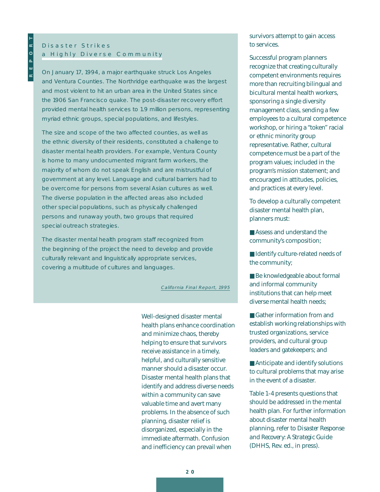## Disaster Strikes a Highly Diverse Community

On January 17, 1994, a major earthquake struck Los Angeles and Ventura Counties. The Northridge earthquake was the largest and most violent to hit an urban area in the United States since the 1906 San Francisco quake. The post-disaster recovery effort provided mental health services to 1.9 million persons, representing myriad ethnic groups, special populations, and lifestyles.

The size and scope of the two affected counties, as well as the ethnic diversity of their residents, constituted a challenge to disaster mental health providers. For example, Ventura County is home to many undocumented migrant farm workers, the majority of whom do not speak English and are mistrustful of government at any level. Language and cultural barriers had to be overcome for persons from several Asian cultures as well. The diverse population in the affected areas also included other special populations, such as physically challenged persons and runaway youth, two groups that required special outreach strategies.

The disaster mental health program staff recognized from the beginning of the project the need to develop and provide culturally relevant and linguistically appropriate services, covering a multitude of cultures and languages.

California Final Report, 1995

Well-designed disaster mental health plans enhance coordination and minimize chaos, thereby helping to ensure that survivors receive assistance in a timely, helpful, and culturally sensitive manner should a disaster occur. Disaster mental health plans that identify and address diverse needs within a community can save valuable time and avert many problems. In the absence of such planning, disaster relief is disorganized, especially in the immediate aftermath. Confusion and inefficiency can prevail when

survivors attempt to gain access to services.

Successful program planners recognize that creating culturally competent environments requires more than recruiting bilingual and bicultural mental health workers, sponsoring a single diversity management class, sending a few employees to a cultural competence workshop, or hiring a "token" racial or ethnic minority group representative. Rather, cultural competence must be a part of the program values; included in the program's mission statement; and encouraged in attitudes, policies, and practices at every level.

To develop a culturally competent disaster mental health plan, planners must:

■ Assess and understand the community's composition;

■ Identify culture-related needs of the community;

■ Be knowledgeable about formal and informal community institutions that can help meet diverse mental health needs;

■ Gather information from and establish working relationships with trusted organizations, service providers, and cultural group leaders and gatekeepers; and

■ Anticipate and identify solutions to cultural problems that may arise in the event of a disaster.

Table 1-4 presents questions that should be addressed in the mental health plan. For further information about disaster mental health planning, refer to *Disaster Response and Recovery: A Strategic Guide* (DHHS, Rev. ed., in press).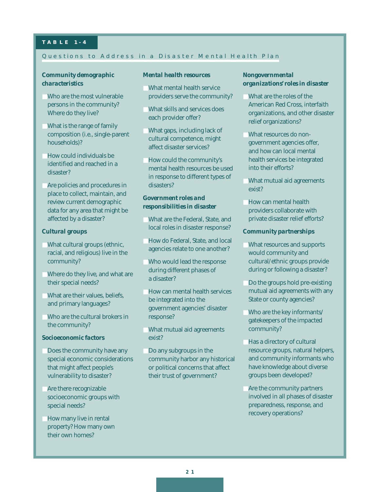## **TABLE 1-4**

#### Questions to Address in a Disaster Mental Health Plan

## *Community demographic characteristics*

- Who are the most vulnerable persons in the community? Where do they live?
- What is the range of family composition (i.e., single-parent households)?
- ■How could individuals be identified and reached in a disaster?
- Are policies and procedures in place to collect, maintain, and review current demographic data for any area that might be affected by a disaster?

#### *Cultural groups*

- ■What cultural groups (ethnic, racial, and religious) live in the community?
- Where do they live, and what are their special needs?
- What are their values, beliefs, and primary languages?
- ■Who are the cultural brokers in the community?

#### *Socioeconomic factors*

- Does the community have any special economic considerations that might affect people's vulnerability to disaster?
- Are there recognizable socioeconomic groups with special needs?
- **How many live in rental** property? How many own their own homes?

#### *Mental health resources*

- ■What mental health service providers serve the community?
- What skills and services does each provider offer?
- What gaps, including lack of cultural competence, might affect disaster services?
- How could the community's mental health resources be used in response to different types of disasters?

## *Government roles and responsibilities in disaster*

- **What are the Federal, State, and** local roles in disaster response?
- How do Federal, State, and local agencies relate to one another?
- Who would lead the response during different phases of a disaster?
- How can mental health services be integrated into the government agencies' disaster response?
- What mutual aid agreements exist?
- Do any subgroups in the community harbor any historical or political concerns that affect their trust of government?

## *Nongovernmental organizations' roles in disaster*

- What are the roles of the American Red Cross, interfaith organizations, and other disaster relief organizations?
- What resources do nongovernment agencies offer, and how can local mental health services be integrated into their efforts?
- What mutual aid agreements exist?
- ■How can mental health providers collaborate with private disaster relief efforts?

#### *Community partnerships*

- What resources and supports would community and cultural/ethnic groups provide during or following a disaster?
- Do the groups hold pre-existing mutual aid agreements with any State or county agencies?
- Who are the key informants/ gatekeepers of the impacted community?
- Has a directory of cultural resource groups, natural helpers, and community informants who have knowledge about diverse groups been developed?
- Are the community partners involved in all phases of disaster preparedness, response, and recovery operations?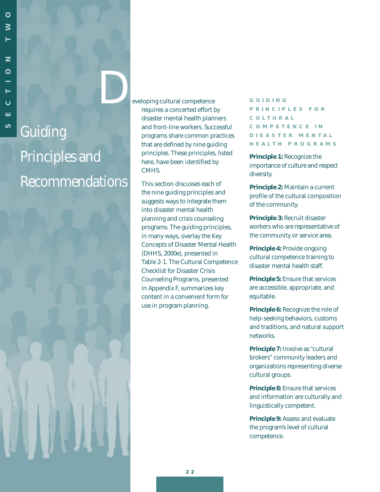# Guiding Principles and Recommendations

requires a concerted effort by disaster mental health planners and front-line workers. Successful programs share common practices that are defined by nine guiding principles. These principles, listed here, have been identified by CMHS. eveloping cultural competence

This section discusses each of the nine guiding principles and suggests ways to integrate them into disaster mental health planning and crisis counseling programs. The guiding principles, in many ways, overlay the Key Concepts of Disaster Mental Health (DHHS, 2000e), presented in Table 2-1. The Cultural Competence Checklist for Disaster Crisis Counseling Programs, presented in Appendix F, summarizes key content in a convenient form for use in program planning.

## **GUIDING PRINCIPLES FOR CULTURAL COMPETENCE IN DISASTER MENTAL HEALTH PROGRAMS**

**Principle 1:** Recognize the importance of culture and respect diversity.

**Principle 2:** Maintain a current profile of the cultural composition of the community.

**Principle 3:** Recruit disaster workers who are representative of the community or service area.

**Principle 4:** Provide ongoing cultural competence training to disaster mental health staff.

**Principle 5:** Ensure that services are accessible, appropriate, and equitable.

**Principle 6:** Recognize the role of help-seeking behaviors, customs and traditions, and natural support networks.

**Principle 7:** Involve as "cultural brokers" community leaders and organizations representing diverse cultural groups.

**Principle 8:** Ensure that services and information are culturally and linguistically competent.

**Principle 9:** Assess and evaluate the program's level of cultural competence.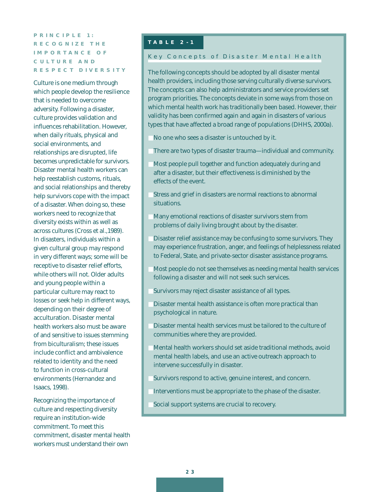## **PRINCIPLE 1: RECOGNIZE THE IMPORTANCE OF CULTURE AND RESPECT DIVERSITY**

Culture is one medium through which people develop the resilience that is needed to overcome adversity. Following a disaster, culture provides validation and influences rehabilitation. However, when daily rituals, physical and social environments, and relationships are disrupted, life becomes unpredictable for survivors. Disaster mental health workers can help reestablish customs, rituals, and social relationships and thereby help survivors cope with the impact of a disaster. When doing so, these workers need to recognize that diversity exists within as well as across cultures (Cross et al.,1989). In disasters, individuals within a given cultural group may respond in very different ways; some will be receptive to disaster relief efforts, while others will not. Older adults and young people within a particular culture may react to losses or seek help in different ways, depending on their degree of acculturation. Disaster mental health workers also must be aware of and sensitive to issues stemming from biculturalism; these issues include conflict and ambivalence related to identity and the need to function in cross-cultural environments (Hernandez and Isaacs, 1998).

Recognizing the importance of culture and respecting diversity require an institution-wide commitment. To meet this commitment, disaster mental health workers must understand their own

## **TABLE 2-1**

#### Key Concepts of Disaster Mental Health

The following concepts should be adopted by all disaster mental health providers, including those serving culturally diverse survivors. The concepts can also help administrators and service providers set program priorities. The concepts deviate in some ways from those on which mental health work has traditionally been based. However, their validity has been confirmed again and again in disasters of various types that have affected a broad range of populations (DHHS, 2000a).

- ■No one who sees a disaster is untouched by it.
- There are two types of disaster trauma-individual and community.
- Most people pull together and function adequately during and after a disaster, but their effectiveness is diminished by the effects of the event.
- Stress and grief in disasters are normal reactions to abnormal situations.
- Many emotional reactions of disaster survivors stem from problems of daily living brought about by the disaster.
- ■Disaster relief assistance may be confusing to some survivors. They may experience frustration, anger, and feelings of helplessness related to Federal, State, and private-sector disaster assistance programs.
- Most people do not see themselves as needing mental health services following a disaster and will not seek such services.
- ■Survivors may reject disaster assistance of all types.
- Disaster mental health assistance is often more practical than psychological in nature.
- Disaster mental health services must be tailored to the culture of communities where they are provided.
- Mental health workers should set aside traditional methods, avoid mental health labels, and use an active outreach approach to intervene successfully in disaster.
- Survivors respond to active, genuine interest, and concern.
- Interventions must be appropriate to the phase of the disaster.
- Social support systems are crucial to recovery.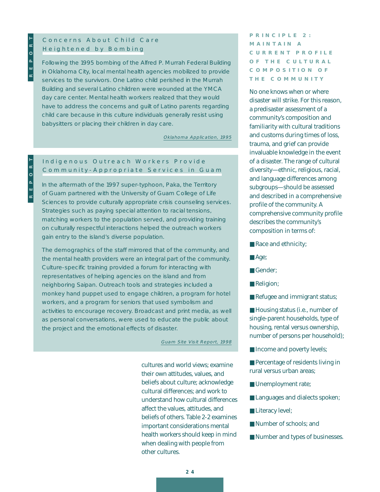## Concerns About Child Care Heightened by Bombing

Following the 1995 bombing of the Alfred P. Murrah Federal Building in Oklahoma City, local mental health agencies mobilized to provide services to the survivors. One Latino child perished in the Murrah Building and several Latino children were wounded at the YMCA day care center. Mental health workers realized that they would have to address the concerns and guilt of Latino parents regarding child care because in this culture individuals generally resist using babysitters or placing their children in day care.

Oklahoma Application, 1995

## Indigenous Outreach Workers Provide Community-Appropriate Services in Guam

In the aftermath of the 1997 super-typhoon, Paka, the Territory of Guam partnered with the University of Guam College of Life Sciences to provide culturally appropriate crisis counseling services. Strategies such as paying special attention to racial tensions, matching workers to the population served, and providing training on culturally respectful interactions helped the outreach workers gain entry to the island's diverse population.

The demographics of the staff mirrored that of the community, and the mental health providers were an integral part of the community. Culture-specific training provided a forum for interacting with representatives of helping agencies on the island and from neighboring Saipan. Outreach tools and strategies included a monkey hand puppet used to engage children, a program for hotel workers, and a program for seniors that used symbolism and activities to encourage recovery. Broadcast and print media, as well as personal conversations, were used to educate the public about the project and the emotional effects of disaster.

#### Guam Site Visit Report, 1998

cultures and world views; examine their own attitudes, values, and beliefs about culture; acknowledge cultural differences; and work to understand how cultural differences affect the values, attitudes, and beliefs of others. Table 2-2 examines important considerations mental health workers should keep in mind when dealing with people from other cultures.

**PRINCIPLE 2: MAINTAIN A CURRENT PROFILE OF THE CULTURAL COMPOSITION OF THE COMMUNITY** 

No one knows when or where disaster will strike. For this reason, a predisaster assessment of a community's composition and familiarity with cultural traditions and customs during times of loss, trauma, and grief can provide invaluable knowledge in the event of a disaster. The range of cultural diversity—ethnic, religious, racial, and language differences among subgroups—should be assessed and described in a comprehensive profile of the community. A comprehensive community profile describes the community's composition in terms of:

- Race and ethnicity;
- Age;
- Gender;
- Religion;
- Refugee and immigrant status;

■ Housing status (i.e., number of single-parent households, type of housing, rental versus ownership, number of persons per household);

- Income and poverty levels;
- Percentage of residents living in rural versus urban areas;
- Unemployment rate;
- Languages and dialects spoken;
- Literacy level;
- Number of schools: and
- Number and types of businesses.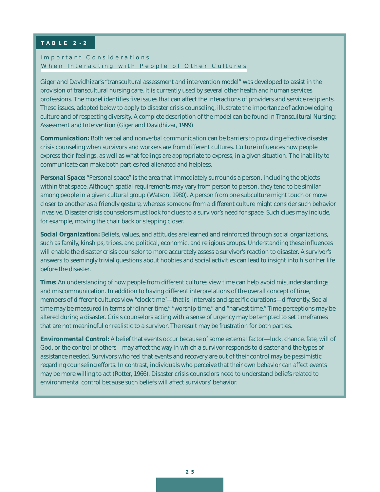## **TABLE 2-2**

## Important Considerations When Interacting with People of Other Cultures

Giger and Davidhizar's "transcultural assessment and intervention model" was developed to assist in the provision of transcultural nursing care. It is currently used by several other health and human services professions. The model identifies five issues that can affect the interactions of providers and service recipients. These issues, adapted below to apply to disaster crisis counseling, illustrate the importance of acknowledging culture and of respecting diversity. A complete description of the model can be found in *Transcultural Nursing: Assessment and Intervention* (Giger and Davidhizar, 1999).

*Communication:* Both verbal and nonverbal communication can be barriers to providing effective disaster crisis counseling when survivors and workers are from different cultures. Culture influences how people express their feelings, as well as what feelings are appropriate to express, in a given situation. The inability to communicate can make both parties feel alienated and helpless.

**Personal Space:** "Personal space" is the area that immediately surrounds a person, including the objects within that space. Although spatial requirements may vary from person to person, they tend to be similar among people in a given cultural group (Watson, 1980). A person from one subculture might touch or move closer to another as a friendly gesture, whereas someone from a different culture might consider such behavior invasive. Disaster crisis counselors must look for clues to a survivor's need for space. Such clues may include, for example, moving the chair back or stepping closer.

*Social Organization:* Beliefs, values, and attitudes are learned and reinforced through social organizations, such as family, kinships, tribes, and political, economic, and religious groups. Understanding these influences will enable the disaster crisis counselor to more accurately assess a survivor's reaction to disaster. A survivor's answers to seemingly trivial questions about hobbies and social activities can lead to insight into his or her life before the disaster.

*Time:* An understanding of how people from different cultures view time can help avoid misunderstandings and miscommunication. In addition to having different interpretations of the overall concept of time, members of different cultures view "clock time"—that is, intervals and specific durations—differently. Social time may be measured in terms of "dinner time," "worship time," and "harvest time." Time perceptions may be altered during a disaster. Crisis counselors acting with a sense of urgency may be tempted to set timeframes that are not meaningful or realistic to a survivor. The result may be frustration for both parties.

*Environmental Control:* A belief that events occur because of some external factor—luck, chance, fate, will of God, or the control of others—may affect the way in which a survivor responds to disaster and the types of assistance needed. Survivors who feel that events and recovery are out of their control may be pessimistic regarding counseling efforts. In contrast, individuals who perceive that their own behavior can affect events may be more willing to act (Rotter, 1966). Disaster crisis counselors need to understand beliefs related to environmental control because such beliefs will affect survivors' behavior.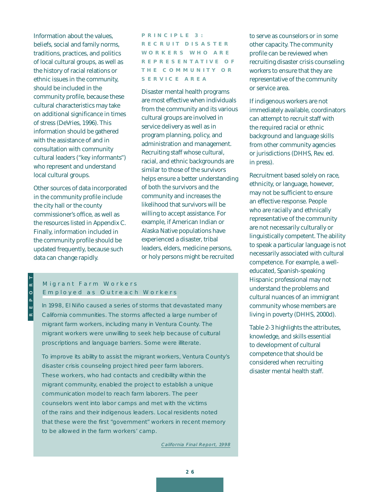Information about the values, beliefs, social and family norms, traditions, practices, and politics of local cultural groups, as well as the history of racial relations or ethnic issues in the community, should be included in the community profile, because these cultural characteristics may take on additional significance in times of stress (DeVries, 1996). This information should be gathered with the assistance of and in consultation with community cultural leaders ("key informants") who represent and understand local cultural groups.

Other sources of data incorporated in the community profile include the city hall or the county commissioner's office, as well as the resources listed in Appendix C. Finally, information included in the community profile should be updated frequently, because such data can change rapidly.

## **PRINCIPLE 3: RECRUIT DISASTER WORKERS WHO ARE REPRESENTATIVE OF THE COMMUNITY OR SERVICE AREA**

Disaster mental health programs are most effective when individuals from the community and its various cultural groups are involved in service delivery as well as in program planning, policy, and administration and management. Recruiting staff whose cultural, racial, and ethnic backgrounds are similar to those of the survivors helps ensure a better understanding of both the survivors and the community and increases the likelihood that survivors will be willing to accept assistance. For example, if American Indian or Alaska Native populations have experienced a disaster, tribal leaders, elders, medicine persons, or holy persons might be recruited

## **REPORT** POR ш,  $\alpha$

## Migrant Farm Workers Employed as Outreach Workers

In 1998, El Niño caused a series of storms that devastated many California communities. The storms affected a large number of migrant farm workers, including many in Ventura County. The migrant workers were unwilling to seek help because of cultural proscriptions and language barriers. Some were illiterate.

To improve its ability to assist the migrant workers, Ventura County's disaster crisis counseling project hired peer farm laborers. These workers, who had contacts and credibility within the migrant community, enabled the project to establish a unique communication model to reach farm laborers. The peer counselors went into labor camps and met with the victims of the rains and their indigenous leaders. Local residents noted that these were the first "government" workers in recent memory to be allowed in the farm workers' camp.

California Final Report, 1998

to serve as counselors or in some other capacity. The community profile can be reviewed when recruiting disaster crisis counseling workers to ensure that they are representative of the community or service area.

If indigenous workers are not immediately available, coordinators can attempt to recruit staff with the required racial or ethnic background and language skills from other community agencies or jurisdictions (DHHS, Rev. ed. in press).

Recruitment based solely on race, ethnicity, or language, however, may not be sufficient to ensure an effective response. People who are racially and ethnically representative of the community are not necessarily culturally or linguistically competent. The ability to speak a particular language is not necessarily associated with cultural competence. For example, a welleducated, Spanish-speaking Hispanic professional may not understand the problems and cultural nuances of an immigrant community whose members are living in poverty (DHHS, 2000d).

Table 2-3 highlights the attributes, knowledge, and skills essential to development of cultural competence that should be considered when recruiting disaster mental health staff.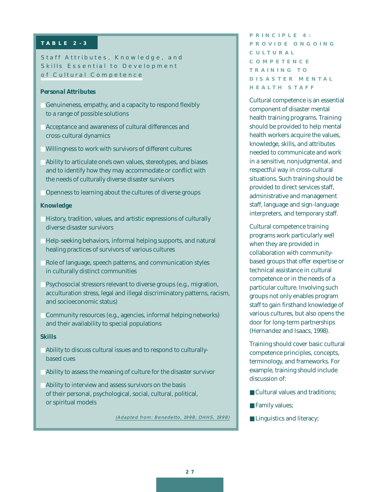## **TABLE 2-3**

## Staff Attributes, Knowledge, and Skills Essential to Development of Cultural Competence

#### *Personal Attributes*

- Genuineness, empathy, and a capacity to respond flexibly to a range of possible solutions
- Acceptance and awareness of cultural differences and cross-cultural dynamics
- Willingness to work with survivors of different cultures
- Ability to articulate one's own values, stereotypes, and biases and to identify how they may accommodate or conflict with the needs of culturally diverse disaster survivors
- Openness to learning about the cultures of diverse groups

#### *Knowledge*

- History, tradition, values, and artistic expressions of culturally diverse disaster survivors
- Help-seeking behaviors, informal helping supports, and natural healing practices of survivors of various cultures
- Role of language, speech patterns, and communication styles in culturally distinct communities
- Psychosocial stressors relevant to diverse groups (e.g., migration, acculturation stress, legal and illegal discriminatory patterns, racism, and socioeconomic status)
- Community resources (e.g., agencies, informal helping networks) and their availability to special populations

#### *Skills*

- Ability to discuss cultural issues and to respond to culturallybased cues
- Ability to assess the meaning of culture for the disaster survivor
- Ability to interview and assess survivors on the basis of their personal, psychological, social, cultural, political, or spiritual models

(Adapted from: Benedetto, 1998; DHHS, 1998)

**PRINCIPLE 4: PROVIDE ONGOING CULTURAL COMPETENCE TRAINING TO DISASTER MENTAL HEALTH STAFF**

Cultural competence is an essential component of disaster mental health training programs. Training should be provided to help mental health workers acquire the values, knowledge, skills, and attributes needed to communicate and work in a sensitive, nonjudgmental, and respectful way in cross-cultural situations. Such training should be provided to direct services staff, administrative and management staff, language and sign-language interpreters, and temporary staff.

Cultural competence training programs work particularly well when they are provided in collaboration with communitybased groups that offer expertise or technical assistance in cultural competence or in the needs of a particular culture. Involving such groups not only enables program staff to gain firsthand knowledge of various cultures, but also opens the door for long-term partnerships (Hernandez and Isaacs, 1998).

Training should cover basic cultural competence principles, concepts, terminology, and frameworks. For example, training should include discussion of:

- Cultural values and traditions:
- Family values;
- Linguistics and literacy;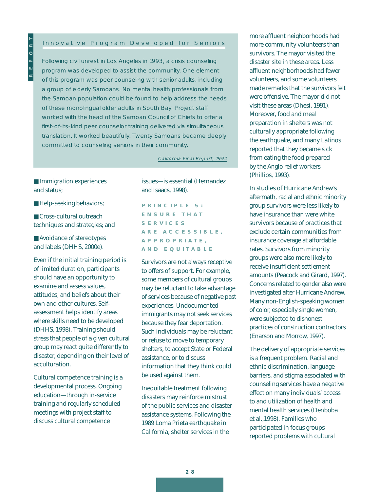#### Innovative Program Developed for Seniors

Following civil unrest in Los Angeles in 1993, a crisis counseling program was developed to assist the community. One element of this program was peer counseling with senior adults, including a group of elderly Samoans. No mental health professionals from the Samoan population could be found to help address the needs of these monolingual older adults in South Bay. Project staff worked with the head of the Samoan Council of Chiefs to offer a first-of-its-kind peer counselor training delivered via simultaneous translation. It worked beautifully. Twenty Samoans became deeply committed to counseling seniors in their community.

California Final Report, 1994

- Immigration experiences and status;
- Help-seeking behaviors;
- Cross-cultural outreach techniques and strategies; and
- Avoidance of stereotypes and labels (DHHS, 2000e).

Even if the initial training period is of limited duration, participants should have an opportunity to examine and assess values, attitudes, and beliefs about their own and other cultures. Selfassessment helps identify areas where skills need to be developed (DHHS, 1998). Training should stress that people of a given cultural group may react quite differently to disaster, depending on their level of acculturation.

Cultural competence training is a developmental process. Ongoing education—through in-service training and regularly scheduled meetings with project staff to discuss cultural competence

issues—is essential (Hernandez and Isaacs, 1998).

**PRINCIPLE 5: ENSURE THAT SERVICES ARE ACCESSIBLE, APPROPRIATE, AND EQUITABLE** 

Survivors are not always receptive to offers of support. For example, some members of cultural groups may be reluctant to take advantage of services because of negative past experiences. Undocumented immigrants may not seek services because they fear deportation. Such individuals may be reluctant or refuse to move to temporary shelters, to accept State or Federal assistance, or to discuss information that they think could be used against them.

Inequitable treatment following disasters may reinforce mistrust of the public services and disaster assistance systems. Following the 1989 Loma Prieta earthquake in California, shelter services in the

more affluent neighborhoods had more community volunteers than survivors. The mayor visited the disaster site in these areas. Less affluent neighborhoods had fewer volunteers, and some volunteers made remarks that the survivors felt were offensive. The mayor did not visit these areas (Dhesi, 1991). Moreover, food and meal preparation in shelters was not culturally appropriate following the earthquake, and many Latinos reported that they became sick from eating the food prepared by the Anglo relief workers (Phillips, 1993).

In studies of Hurricane Andrew's aftermath, racial and ethnic minority group survivors were less likely to have insurance than were white survivors because of practices that exclude certain communities from insurance coverage at affordable rates. Survivors from minority groups were also more likely to receive insufficient settlement amounts (Peacock and Girard, 1997). Concerns related to gender also were investigated after Hurricane Andrew. Many non-English-speaking women of color, especially single women, were subjected to dishonest practices of construction contractors (Enarson and Morrow, 1997).

The delivery of appropriate services is a frequent problem. Racial and ethnic discrimination, language barriers, and stigma associated with counseling services have a negative effect on many individuals' access to and utilization of health and mental health services (Denboba et al.,1998). Families who participated in focus groups reported problems with cultural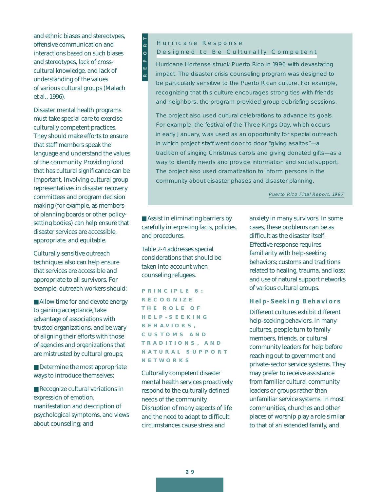and ethnic biases and stereotypes, offensive communication and interactions based on such biases and stereotypes, lack of crosscultural knowledge, and lack of understanding of the values of various cultural groups (Malach et al., 1996).

**REPORT**

E P O

 $\alpha$ 

 $\alpha$ 

Disaster mental health programs must take special care to exercise culturally competent practices. They should make efforts to ensure that staff members speak the language and understand the values of the community. Providing food that has cultural significance can be important. Involving cultural group representatives in disaster recovery committees and program decision making (for example, as members of planning boards or other policysetting bodies) can help ensure that disaster services are accessible, appropriate, and equitable.

Culturally sensitive outreach techniques also can help ensure that services are accessible and appropriate to all survivors. For example, outreach workers should:

■ Allow time for and devote energy to gaining acceptance, take advantage of associations with trusted organizations, and be wary of aligning their efforts with those of agencies and organizations that are mistrusted by cultural groups;

■ Determine the most appropriate ways to introduce themselves;

■ Recognize cultural variations in expression of emotion, manifestation and description of psychological symptoms, and views about counseling; and

## Hurricane Response Designed to Be Culturally Competent

Hurricane Hortense struck Puerto Rico in 1996 with devastating impact. The disaster crisis counseling program was designed to be particularly sensitive to the Puerto Rican culture. For example, recognizing that this culture encourages strong ties with friends and neighbors, the program provided group debriefing sessions.

The project also used cultural celebrations to advance its goals. For example, the festival of the Three Kings Day, which occurs in early January, was used as an opportunity for special outreach in which project staff went door to door "giving asaltos"—a tradition of singing Christmas carols and giving donated gifts—as a way to identify needs and provide information and social support. The project also used dramatization to inform persons in the community about disaster phases and disaster planning.

Puerto Rico Final Report, 1997

■ Assist in eliminating barriers by carefully interpreting facts, policies, and procedures.

Table 2-4 addresses special considerations that should be taken into account when counseling refugees.

**PRINCIPLE 6: RECOGNIZE THE ROLE OF HELP-SEEKING BEHAVIORS, CUSTOMS AND TRADITIONS, AND NATURAL SUPPORT NETWORKS** 

Culturally competent disaster mental health services proactively respond to the culturally defined needs of the community. Disruption of many aspects of life and the need to adapt to difficult circumstances cause stress and

anxiety in many survivors. In some cases, these problems can be as difficult as the disaster itself. Effective response requires familiarity with help-seeking behaviors; customs and traditions related to healing, trauma, and loss; and use of natural support networks of various cultural groups.

#### *Help-Seeking Behaviors*

Different cultures exhibit different help-seeking behaviors. In many cultures, people turn to family members, friends, or cultural community leaders for help before reaching out to government and private-sector service systems. They may prefer to receive assistance from familiar cultural community leaders or groups rather than unfamiliar service systems. In most communities, churches and other places of worship play a role similar to that of an extended family, and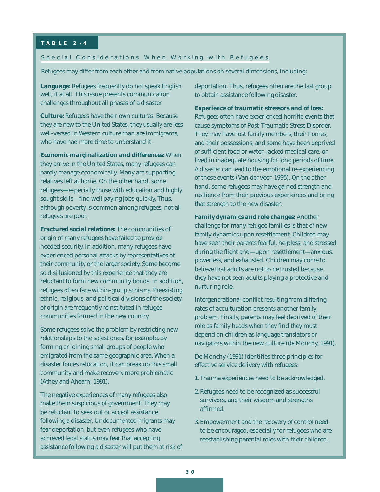## **TABLE 2-4**

#### Special Considerations When Working with Refugees

Refugees may differ from each other and from native populations on several dimensions, including:

*Language:* Refugees frequently do not speak English well, if at all. This issue presents communication challenges throughout all phases of a disaster.

*Culture:* Refugees have their own cultures. Because they are new to the United States, they usually are less well-versed in Western culture than are immigrants, who have had more time to understand it.

*Economic marginalization and differences:* When they arrive in the United States, many refugees can barely manage economically. Many are supporting relatives left at home. On the other hand, some refugees—especially those with education and highly sought skills—find well paying jobs quickly. Thus, although poverty is common among refugees, not all refugees are poor.

*Fractured social relations:* The communities of origin of many refugees have failed to provide needed security. In addition, many refugees have experienced personal attacks by representatives of their community or the larger society. Some become so disillusioned by this experience that they are reluctant to form new community bonds. In addition, refugees often face within-group schisms. Preexisting ethnic, religious, and political divisions of the society of origin are frequently reinstituted in refugee communities formed in the new country.

Some refugees solve the problem by restricting new relationships to the safest ones, for example, by forming or joining small groups of people who emigrated from the same geographic area. When a disaster forces relocation, it can break up this small community and make recovery more problematic (Athey and Ahearn, 1991).

The negative experiences of many refugees also make them suspicious of government. They may be reluctant to seek out or accept assistance following a disaster. Undocumented migrants may fear deportation, but even refugees who have achieved legal status may fear that accepting assistance following a disaster will put them at risk of deportation. Thus, refugees often are the last group to obtain assistance following disaster.

#### *Experience of traumatic stressors and of loss:*

Refugees often have experienced horrific events that cause symptoms of Post-Traumatic Stress Disorder. They may have lost family members, their homes, and their possessions, and some have been deprived of sufficient food or water, lacked medical care, or lived in inadequate housing for long periods of time. A disaster can lead to the emotional re-experiencing of these events (Van der Veer, 1995). On the other hand, some refugees may have gained strength and resilience from their previous experiences and bring that strength to the new disaster.

*Family dynamics and role changes:* Another challenge for many refugee families is that of new family dynamics upon resettlement. Children may have seen their parents fearful, helpless, and stressed during the flight and—upon resettlement—anxious, powerless, and exhausted. Children may come to believe that adults are not to be trusted because they have not seen adults playing a protective and nurturing role.

Intergenerational conflict resulting from differing rates of acculturation presents another family problem. Finally, parents may feel deprived of their role as family heads when they find they must depend on children as language translators or navigators within the new culture (de Monchy, 1991).

De Monchy (1991) identifies three principles for effective service delivery with refugees:

- 1. Trauma experiences need to be acknowledged.
- 2. Refugees need to be recognized as successful survivors, and their wisdom and strengths affirmed.
- 3. Empowerment and the recovery of control need to be encouraged, especially for refugees who are reestablishing parental roles with their children.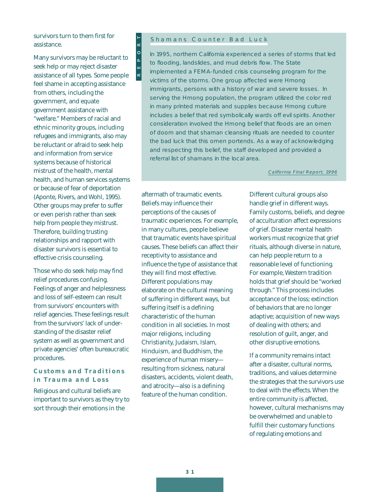## survivors turn to them first for assistance.

**REPORT**

 $\underline{\alpha}$  $\overline{a}$ Ш  $\underline{\alpha}$ 

Many survivors may be reluctant to seek help or may reject disaster assistance of all types. Some people feel shame in accepting assistance from others, including the government, and equate government assistance with "welfare." Members of racial and ethnic minority groups, including refugees and immigrants, also may be reluctant or afraid to seek help and information from service systems because of historical mistrust of the health, mental health, and human services systems or because of fear of deportation (Aponte, Rivers, and Wohl, 1995). Other groups may prefer to suffer or even perish rather than seek help from people they mistrust. Therefore, building trusting relationships and rapport with disaster survivors is essential to effective crisis counseling.

Those who do seek help may find relief procedures confusing. Feelings of anger and helplessness and loss of self-esteem can result from survivors' encounters with relief agencies. These feelings result from the survivors' lack of understanding of the disaster relief system as well as government and private agencies' often bureaucratic procedures.

## *Customs and Traditions in Trauma and Loss*

Religious and cultural beliefs are important to survivors as they try to sort through their emotions in the

#### Shamans Counter Bad Luck

In 1995, northern California experienced a series of storms that led to flooding, landslides, and mud debris flow. The State implemented a FEMA-funded crisis counseling program for the victims of the storms. One group affected were Hmong immigrants, persons with a history of war and severe losses. In serving the Hmong population, the program utilized the color red in many printed materials and supplies because Hmong culture includes a belief that red symbolically wards off evil spirits. Another consideration involved the Hmong belief that floods are an omen of doom and that shaman cleansing rituals are needed to counter the bad luck that this omen portends. As a way of acknowledging and respecting this belief, the staff developed and provided a referral list of shamans in the local area.

California Final Report, 1996

aftermath of traumatic events. Beliefs may influence their perceptions of the causes of traumatic experiences. For example, in many cultures, people believe that traumatic events have spiritual causes. These beliefs can affect their receptivity to assistance and influence the type of assistance that they will find most effective. Different populations may elaborate on the cultural meaning of suffering in different ways, but suffering itself is a defining characteristic of the human condition in all societies. In most major religions, including Christianity, Judaism, Islam, Hinduism, and Buddhism, the experience of human misery resulting from sickness, natural disasters, accidents, violent death, and atrocity—also is a defining feature of the human condition.

Different cultural groups also handle grief in different ways. Family customs, beliefs, and degree of acculturation affect expressions of grief. Disaster mental health workers must recognize that grief rituals, although diverse in nature, can help people return to a reasonable level of functioning. For example, Western tradition holds that grief should be "worked through." This process includes acceptance of the loss; extinction of behaviors that are no longer adaptive; acquisition of new ways of dealing with others; and resolution of guilt, anger, and other disruptive emotions.

If a community remains intact after a disaster, cultural norms, traditions, and values determine the strategies that the survivors use to deal with the effects. When the entire community is affected, however, cultural mechanisms may be overwhelmed and unable to fulfill their customary functions of regulating emotions and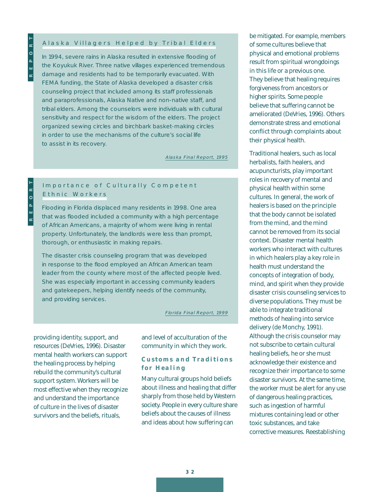# **REPORT**  $\underline{\alpha}$ EP O  $\underline{\alpha}$

**REPORT**

EPO

 $\alpha$ 

 $\underline{\alpha}$ 

#### Alaska Villagers Helped by Tribal Elders

In 1994, severe rains in Alaska resulted in extensive flooding of the Koyukuk River. Three native villages experienced tremendous damage and residents had to be temporarily evacuated. With FEMA funding, the State of Alaska developed a disaster crisis counseling project that included among its staff professionals and paraprofessionals, Alaska Native and non-native staff, and tribal elders. Among the counselors were individuals with cultural sensitivity and respect for the wisdom of the elders. The project organized sewing circles and birchbark basket-making circles in order to use the mechanisms of the culture's social life to assist in its recovery.

Alaska Final Report, 1995

## Importance of Culturally Competent Ethnic Workers

Flooding in Florida displaced many residents in 1998. One area that was flooded included a community with a high percentage of African Americans, a majority of whom were living in rental property. Unfortunately, the landlords were less than prompt, thorough, or enthusiastic in making repairs.

The disaster crisis counseling program that was developed in response to the flood employed an African American team leader from the county where most of the affected people lived. She was especially important in accessing community leaders and gatekeepers, helping identify needs of the community, and providing services.

Florida Final Report, 1999

providing identity, support, and resources (DeVries, 1996). Disaster mental health workers can support the healing process by helping rebuild the community's cultural support system. Workers will be most effective when they recognize and understand the importance of culture in the lives of disaster survivors and the beliefs, rituals,

and level of acculturation of the community in which they work.

## *Customs and Traditions for Healing*

Many cultural groups hold beliefs about illness and healing that differ sharply from those held by Western society. People in every culture share beliefs about the causes of illness and ideas about how suffering can

be mitigated. For example, members of some cultures believe that physical and emotional problems result from spiritual wrongdoings in this life or a previous one. They believe that healing requires forgiveness from ancestors or higher spirits. Some people believe that suffering cannot be ameliorated (DeVries, 1996). Others demonstrate stress and emotional conflict through complaints about their physical health.

Traditional healers, such as local herbalists, faith healers, and acupuncturists, play important roles in recovery of mental and physical health within some cultures. In general, the work of healers is based on the principle that the body cannot be isolated from the mind, and the mind cannot be removed from its social context. Disaster mental health workers who interact with cultures in which healers play a key role in health must understand the concepts of integration of body, mind, and spirit when they provide disaster crisis counseling services to diverse populations. They must be able to integrate traditional methods of healing into service delivery (de Monchy, 1991). Although the crisis counselor may not subscribe to certain cultural healing beliefs, he or she must acknowledge their existence and recognize their importance to some disaster survivors. At the same time, the worker must be alert for any use of dangerous healing practices, such as ingestion of harmful mixtures containing lead or other toxic substances, and take corrective measures. Reestablishing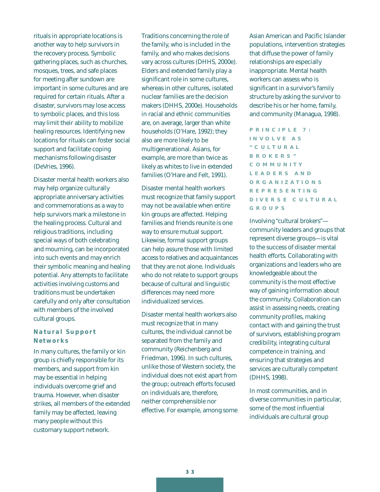rituals in appropriate locations is another way to help survivors in the recovery process. Symbolic gathering places, such as churches, mosques, trees, and safe places for meeting after sundown are important in some cultures and are required for certain rituals. After a disaster, survivors may lose access to symbolic places, and this loss may limit their ability to mobilize healing resources. Identifying new locations for rituals can foster social support and facilitate coping mechanisms following disaster (DeVries, 1996).

Disaster mental health workers also may help organize culturally appropriate anniversary activities and commemorations as a way to help survivors mark a milestone in the healing process. Cultural and religious traditions, including special ways of both celebrating and mourning, can be incorporated into such events and may enrich their symbolic meaning and healing potential. Any attempts to facilitate activities involving customs and traditions must be undertaken carefully and only after consultation with members of the involved cultural groups.

## *Natural Support Networks*

In many cultures, the family or kin group is chiefly responsible for its members, and support from kin may be essential in helping individuals overcome grief and trauma. However, when disaster strikes, all members of the extended family may be affected, leaving many people without this customary support network.

Traditions concerning the role of the family, who is included in the family, and who makes decisions vary across cultures (DHHS, 2000e). Elders and extended family play a significant role in some cultures, whereas in other cultures, isolated nuclear families are the decision makers (DHHS, 2000e). Households in racial and ethnic communities are, on average, larger than white households (O'Hare, 1992); they also are more likely to be multigenerational. Asians, for example, are more than twice as likely as whites to live in extended families (O'Hare and Felt, 1991).

Disaster mental health workers must recognize that family support may not be available when entire kin groups are affected. Helping families and friends reunite is one way to ensure mutual support. Likewise, formal support groups can help assure those with limited access to relatives and acquaintances that they are not alone. Individuals who do not relate to support groups because of cultural and linguistic differences may need more individualized services.

Disaster mental health workers also must recognize that in many cultures, the individual cannot be separated from the family and community (Reichenberg and Friedman, 1996). In such cultures, unlike those of Western society, the individual does not exist apart from the group; outreach efforts focused on individuals are, therefore, neither comprehensible nor effective. For example, among some Asian American and Pacific Islander populations, intervention strategies that diffuse the power of family relationships are especially inappropriate. Mental health workers can assess who is significant in a survivor's family structure by asking the survivor to describe his or her home, family, and community (Managua, 1998).

**PRINCIPLE 7: INVOLVE AS "CULTURAL BROKERS" COMMUNITY LEADERS AND ORGANIZATIONS REPRESENTING DIVERSE CULTURAL GROUPS** 

Involving "cultural brokers" community leaders and groups that represent diverse groups—is vital to the success of disaster mental health efforts. Collaborating with organizations and leaders who are knowledgeable about the community is the most effective way of gaining information about the community. Collaboration can assist in assessing needs, creating community profiles, making contact with and gaining the trust of survivors, establishing program credibility, integrating cultural competence in training, and ensuring that strategies and services are culturally competent (DHHS, 1998).

In most communities, and in diverse communities in particular, some of the most influential individuals are cultural group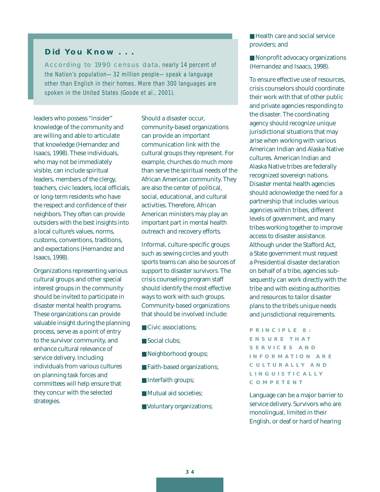## **Did You Know . . .**

According to 1990 census data, nearly 14 percent of the Nation's population—32 million people—speak a language other than English in their homes. More than 300 languages are spoken in the United States (Goode et al., 2001).

leaders who possess "insider" knowledge of the community and are willing and able to articulate that knowledge (Hernandez and Isaacs, 1998). These individuals, who may not be immediately visible, can include spiritual leaders, members of the clergy, teachers, civic leaders, local officials, or long-term residents who have the respect and confidence of their neighbors. They often can provide outsiders with the best insights into a local culture's values, norms, customs, conventions, traditions, and expectations (Hernandez and Isaacs, 1998).

Organizations representing various cultural groups and other special interest groups in the community should be invited to participate in disaster mental health programs. These organizations can provide valuable insight during the planning process, serve as a point of entry to the survivor community, and enhance cultural relevance of service delivery. Including individuals from various cultures on planning task forces and committees will help ensure that they concur with the selected strategies.

Should a disaster occur, community-based organizations can provide an important communication link with the cultural groups they represent. For example, churches do much more than serve the spiritual needs of the African American community. They are also the center of political, social, educational, and cultural activities. Therefore, African American ministers may play an important part in mental health outreach and recovery efforts.

Informal, culture-specific groups such as sewing circles and youth sports teams can also be sources of support to disaster survivors. The crisis counseling program staff should identify the most effective ways to work with such groups. Community-based organizations that should be involved include:

- Civic associations;
- Social clubs:
- Neighborhood groups;
- Faith-based organizations;
- Interfaith groups;
- Mutual aid societies:
- Voluntary organizations;

## ■ Health care and social service providers; and

■ Nonprofit advocacy organizations (Hernandez and Isaacs, 1998).

To ensure effective use of resources, crisis counselors should coordinate their work with that of other public and private agencies responding to the disaster. The coordinating agency should recognize unique jurisdictional situations that may arise when working with various American Indian and Alaska Native cultures. American Indian and Alaska Native tribes are federally recognized sovereign nations. Disaster mental health agencies should acknowledge the need for a partnership that includes various agencies within tribes, different levels of government, and many tribes working together to improve access to disaster assistance. Although under the Stafford Act, a State government must request a Presidential disaster declaration on behalf of a tribe, agencies subsequently can work directly with the tribe and with existing authorities and resources to tailor disaster plans to the tribe's unique needs and jurisdictional requirements.

**PRINCIPLE 8: ENSURE THAT SERVICES AND INFORMATION ARE CULTURALLY AND LINGUISTICALLY COMPETENT** 

Language can be a major barrier to service delivery. Survivors who are monolingual, limited in their English, or deaf or hard of hearing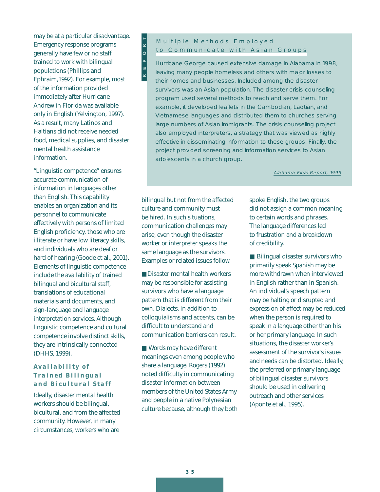may be at a particular disadvantage. Emergency response programs generally have few or no staff trained to work with bilingual populations (Phillips and Ephraim,1992). For example, most of the information provided immediately after Hurricane Andrew in Florida was available only in English (Yelvington, 1997). As a result, many Latinos and Haitians did not receive needed food, medical supplies, and disaster mental health assistance information.

**REPORT**

 $\underline{\alpha}$  $\circ$  $\Delta$ ш  $\alpha$ 

"Linguistic competence" ensures accurate communication of information in languages other than English. This capability enables an organization and its personnel to communicate effectively with persons of limited English proficiency, those who are illiterate or have low literacy skills, and individuals who are deaf or hard of hearing (Goode et al., 2001). Elements of linguistic competence include the availability of trained bilingual and bicultural staff, translations of educational materials and documents, and sign-language and language interpretation services. Although linguistic competence and cultural competence involve distinct skills, they are intrinsically connected (DHHS, 1999).

## *Availability of Trained Bilingual and Bicultural Staff*

Ideally, disaster mental health workers should be bilingual, bicultural, and from the affected community. However, in many circumstances, workers who are

## Multiple Methods Employed to Communicate with Asian Groups

Hurricane George caused extensive damage in Alabama in 1998, leaving many people homeless and others with major losses to their homes and businesses. Included among the disaster survivors was an Asian population. The disaster crisis counseling program used several methods to reach and serve them. For example, it developed leaflets in the Cambodian, Laotian, and Vietnamese languages and distributed them to churches serving large numbers of Asian immigrants. The crisis counseling project also employed interpreters, a strategy that was viewed as highly effective in disseminating information to these groups. Finally, the project provided screening and information services to Asian adolescents in a church group.

Alabama Final Report, 1999

bilingual but not from the affected culture and community must be hired. In such situations, communication challenges may arise, even though the disaster worker or interpreter speaks the same language as the survivors. Examples or related issues follow.

■ Disaster mental health workers may be responsible for assisting survivors who have a language pattern that is different from their own. Dialects, in addition to colloquialisms and accents, can be difficult to understand and communication barriers can result.

■ Words may have different meanings even among people who share a language. Rogers (1992) noted difficulty in communicating disaster information between members of the United States Army and people in a native Polynesian culture because, although they both spoke English, the two groups did not assign a common meaning to certain words and phrases. The language differences led to frustration and a breakdown of credibility.

■ Bilingual disaster survivors who primarily speak Spanish may be more withdrawn when interviewed in English rather than in Spanish. An individual's speech pattern may be halting or disrupted and expression of affect may be reduced when the person is required to speak in a language other than his or her primary language. In such situations, the disaster worker's assessment of the survivor's issues and needs can be distorted. Ideally, the preferred or primary language of bilingual disaster survivors should be used in delivering outreach and other services (Aponte et al., 1995).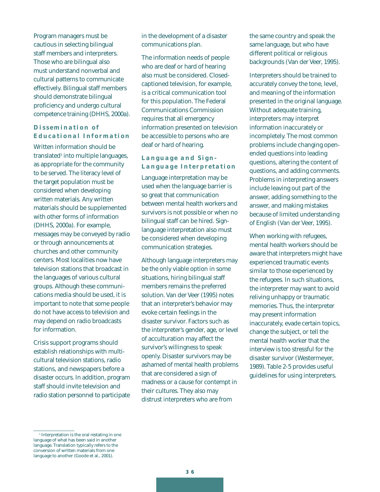Program managers must be cautious in selecting bilingual staff members and interpreters. Those who are bilingual also must understand nonverbal and cultural patterns to communicate effectively. Bilingual staff members should demonstrate bilingual proficiency and undergo cultural competence training (DHHS, 2000a).

## *Dissemination of Educational Information*

Written information should be translated<sup>3</sup> into multiple languages, as appropriate for the community to be served. The literacy level of the target population must be considered when developing written materials. Any written materials should be supplemented with other forms of information (DHHS, 2000a). For example, messages may be conveyed by radio or through announcements at churches and other community centers. Most localities now have television stations that broadcast in the languages of various cultural groups. Although these communications media should be used, it is important to note that some people do not have access to television and may depend on radio broadcasts for information.

Crisis support programs should establish relationships with multicultural television stations, radio stations, and newspapers before a disaster occurs. In addition, program staff should invite television and radio station personnel to participate

in the development of a disaster communications plan.

The information needs of people who are deaf or hard of hearing also must be considered. Closedcaptioned television, for example, is a critical communication tool for this population. The Federal Communications Commission requires that all emergency information presented on television be accessible to persons who are deaf or hard of hearing.

## *Language and Sign-Language Interpretation*

Language interpretation may be used when the language barrier is so great that communication between mental health workers and survivors is not possible or when no bilingual staff can be hired. Signlanguage interpretation also must be considered when developing communication strategies.

Although language interpreters may be the only viable option in some situations, hiring bilingual staff members remains the preferred solution. Van der Veer (1995) notes that an interpreter's behavior may evoke certain feelings in the disaster survivor. Factors such as the interpreter's gender, age, or level of acculturation may affect the survivor's willingness to speak openly. Disaster survivors may be ashamed of mental health problems that are considered a sign of madness or a cause for contempt in their cultures. They also may distrust interpreters who are from

the same country and speak the same language, but who have different political or religious backgrounds (Van der Veer, 1995).

Interpreters should be trained to accurately convey the tone, level, and meaning of the information presented in the original language. Without adequate training, interpreters may interpret information inaccurately or incompletely. The most common problems include changing openended questions into leading questions, altering the content of questions, and adding comments. Problems in interpreting answers include leaving out part of the answer, adding something to the answer, and making mistakes because of limited understanding of English (Van der Veer, 1995).

When working with refugees, mental health workers should be aware that interpreters might have experienced traumatic events similar to those experienced by the refugees. In such situations, the interpreter may want to avoid reliving unhappy or traumatic memories. Thus, the interpreter may present information inaccurately, evade certain topics, change the subject, or tell the mental health worker that the interview is too stressful for the disaster survivor (Westermeyer, 1989). Table 2-5 provides useful guidelines for using interpreters.

<sup>&</sup>lt;sup>3</sup> Interpretation is the oral restating in one language of what has been said in another language. Translation typically refers to the conversion of written materials from one language to another (Goode et al., 2001).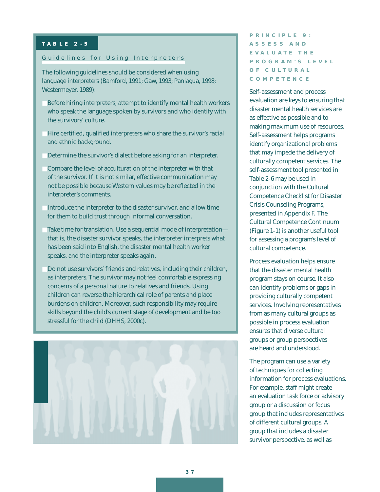## **TABLE 2-5**

#### Guidelines for Using Interpreters

The following guidelines should be considered when using language interpreters (Bamford, 1991; Gaw, 1993; Paniagua, 1998; Westermeyer, 1989):

- Before hiring interpreters, attempt to identify mental health workers who speak the language spoken by survivors and who identify with the survivors' culture.
- Hire certified, qualified interpreters who share the survivor's racial and ethnic background.
- **EXECUTE:** Determine the survivor's dialect before asking for an interpreter.
- Compare the level of acculturation of the interpreter with that of the survivor. If it is not similar, effective communication may not be possible because Western values may be reflected in the interpreter's comments.
- Introduce the interpreter to the disaster survivor, and allow time for them to build trust through informal conversation.
- Take time for translation. Use a sequential mode of interpretationthat is, the disaster survivor speaks, the interpreter interprets what has been said into English, the disaster mental health worker speaks, and the interpreter speaks again.
- Do not use survivors' friends and relatives, including their children, as interpreters. The survivor may not feel comfortable expressing concerns of a personal nature to relatives and friends. Using children can reverse the hierarchical role of parents and place burdens on children. Moreover, such responsibility may require skills beyond the child's current stage of development and be too stressful for the child (DHHS, 2000c).



**PRINCIPLE 9: ASSESS AND EVALUATE THE PROGRAM'S LEVEL OF CULTURAL COMPETENCE**

Self-assessment and process evaluation are keys to ensuring that disaster mental health services are as effective as possible and to making maximum use of resources. Self-assessment helps programs identify organizational problems that may impede the delivery of culturally competent services. The self-assessment tool presented in Table 2-6 may be used in conjunction with the Cultural Competence Checklist for Disaster Crisis Counseling Programs, presented in Appendix F. The Cultural Competence Continuum (Figure 1-1) is another useful tool for assessing a program's level of cultural competence.

Process evaluation helps ensure that the disaster mental health program stays on course. It also can identify problems or gaps in providing culturally competent services. Involving representatives from as many cultural groups as possible in process evaluation ensures that diverse cultural groups or group perspectives are heard and understood.

The program can use a variety of techniques for collecting information for process evaluations. For example, staff might create an evaluation task force or advisory group or a discussion or focus group that includes representatives of different cultural groups. A group that includes a disaster survivor perspective, as well as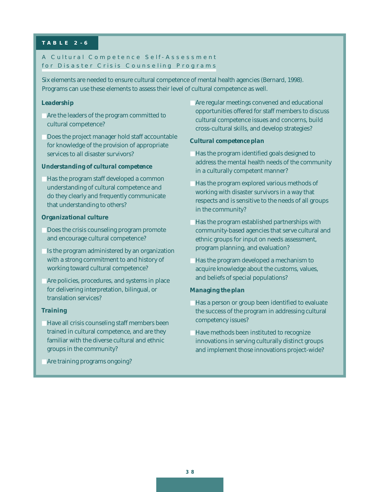## **TABLE 2-6**

## A Cultural Competence Self-Assessment for Disaster Crisis Counseling Programs

Six elements are needed to ensure cultural competence of mental health agencies (Bernard, 1998). Programs can use these elements to assess their level of cultural competence as well.

#### *Leadership*

- Are the leaders of the program committed to cultural competence?
- Does the project manager hold staff accountable for knowledge of the provision of appropriate services to all disaster survivors?

#### *Understanding of cultural competence*

Has the program staff developed a common understanding of cultural competence and do they clearly and frequently communicate that understanding to others?

#### *Organizational culture*

- Does the crisis counseling program promote and encourage cultural competence?
- Is the program administered by an organization with a strong commitment to and history of working toward cultural competence?
- Are policies, procedures, and systems in place for delivering interpretation, bilingual, or translation services?

#### *Training*

- Have all crisis counseling staff members been trained in cultural competence, and are they familiar with the diverse cultural and ethnic groups in the community?
- Are training programs ongoing?

■ Are regular meetings convened and educational opportunities offered for staff members to discuss cultural competence issues and concerns, build cross-cultural skills, and develop strategies?

#### *Cultural competence plan*

- Has the program identified goals designed to address the mental health needs of the community in a culturally competent manner?
- Has the program explored various methods of working with disaster survivors in a way that respects and is sensitive to the needs of all groups in the community?
- Has the program established partnerships with community-based agencies that serve cultural and ethnic groups for input on needs assessment, program planning, and evaluation?
- **EXTERGED** Has the program developed a mechanism to acquire knowledge about the customs, values, and beliefs of special populations?

#### *Managing the plan*

- Has a person or group been identified to evaluate the success of the program in addressing cultural competency issues?
- Have methods been instituted to recognize innovations in serving culturally distinct groups and implement those innovations project-wide?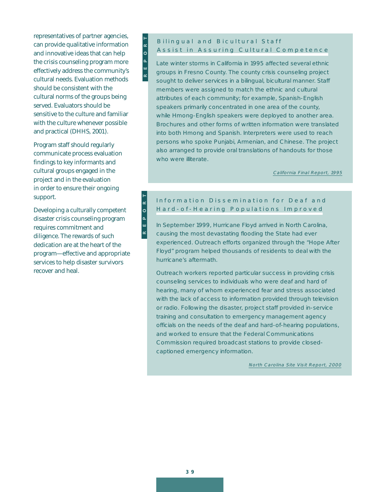representatives of partner agencies, can provide qualitative information and innovative ideas that can help the crisis counseling program more effectively address the community's cultural needs. Evaluation methods should be consistent with the cultural norms of the groups being served. Evaluators should be sensitive to the culture and familiar with the culture whenever possible and practical (DHHS, 2001).

**REPORT**

 $\alpha$  $\bullet$  $\frac{a}{4}$  $\pmb{\alpha}$ 

**REPORT**

 $\underline{\alpha}$  $\circ$  $\Delta$ ш  $\underline{\alpha}$ 

Program staff should regularly communicate process evaluation findings to key informants and cultural groups engaged in the project and in the evaluation in order to ensure their ongoing support.

Developing a culturally competent disaster crisis counseling program requires commitment and diligence. The rewards of such dedication are at the heart of the program—effective and appropriate services to help disaster survivors recover and heal.

## Bilingual and Bicultural Staff Assist in Assuring Cultural Competence

Late winter storms in California in 1995 affected several ethnic groups in Fresno County. The county crisis counseling project sought to deliver services in a bilingual, bicultural manner. Staff members were assigned to match the ethnic and cultural attributes of each community; for example, Spanish-English speakers primarily concentrated in one area of the county, while Hmong-English speakers were deployed to another area. Brochures and other forms of written information were translated into both Hmong and Spanish. Interpreters were used to reach persons who spoke Punjabi, Armenian, and Chinese. The project also arranged to provide oral translations of handouts for those who were illiterate.

California Final Report, 1995

## Information Dissemination for Deaf and Hard-of-Hearing Populations Improved

In September 1999, Hurricane Floyd arrived in North Carolina, causing the most devastating flooding the State had ever experienced. Outreach efforts organized through the "Hope After Floyd" program helped thousands of residents to deal with the hurricane's aftermath.

Outreach workers reported particular success in providing crisis counseling services to individuals who were deaf and hard of hearing, many of whom experienced fear and stress associated with the lack of access to information provided through television or radio. Following the disaster, project staff provided in-service training and consultation to emergency management agency officials on the needs of the deaf and hard-of-hearing populations, and worked to ensure that the Federal Communications Commission required broadcast stations to provide closedcaptioned emergency information.

North Carolina Site Visit Report, 2000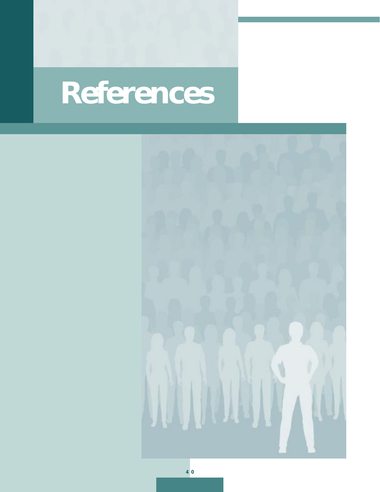# **References**

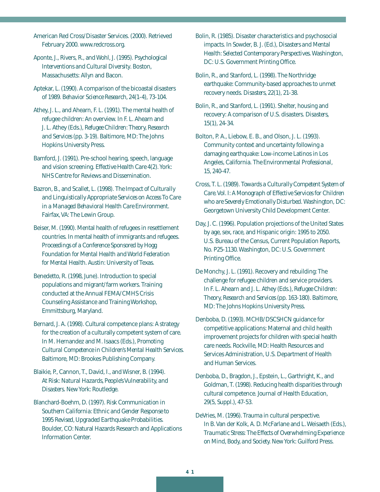American Red Cross/Disaster Services. (2000). Retrieved February 2000. www.redcross.org.

Aponte, J., Rivers, R., and Wohl, J. (1995). *Psychological Interventions and Cultural Diversity*. Boston, Massachusetts: Allyn and Bacon.

Aptekar, L. (1990). A comparison of the bicoastal disasters of 1989. *Behavior Science Research, 24*(1-4), 73-104.

Athey, J. L., and Ahearn, F. L. (1991). The mental health of refugee children: An overview. In F. L. Ahearn and J. L. Athey (Eds.), *Refugee Children: Theory, Research and Services* (pp. 3-19). Baltimore, MD: The Johns Hopkins University Press.

Bamford, J. (1991). Pre-school hearing, speech, language and vision screening. *Effective Health Care 4*(2). York: NHS Centre for Reviews and Dissemination.

Bazron, B., and Scallet, L. (1998). *The Impact of Culturally and Linguistically Appropriate Services on Access To Care in a Managed Behavioral Health Care Environment.* Fairfax, VA: The Lewin Group.

Beiser, M. (1990). Mental health of refugees in resettlement countries. In mental health of immigrants and refugees. *Proceedings of a Conference Sponsored by Hogg Foundation for Mental Health and World Federation for Mental Health.* Austin: University of Texas.

Benedetto, R. (1998, June). Introduction to special populations and migrant/farm workers. Training conducted at the Annual FEMA/CMHS Crisis Counseling Assistance and Training Workshop, Emmittsburg, Maryland.

Bernard, J. A. (1998). Cultural competence plans: A strategy for the creation of a culturally competent system of care. In M. Hernandez and M. Isaacs (Eds.), *Promoting Cultural Competence in Children's Mental Health Services.* Baltimore, MD: Brookes Publishing Company.

Blaikie, P., Cannon, T., David, I., and Wisner, B. (1994). *At Risk: Natural Hazards, People's Vulnerability, and Disasters.* New York: Routledge.

Blanchard-Boehm, D. (1997). *Risk Communication in Southern California: Ethnic and Gender Response to 1995 Revised, Upgraded Earthquake Probabilities.* Boulder, CO: Natural Hazards Research and Applications Information Center.

Bolin, R. (1985). Disaster characteristics and psychosocial impacts. In Sowder, B. J. (Ed.), *Disasters and Mental Health: Selected Contemporary Perspectives.* Washington, DC: U.S. Government Printing Office.

Bolin, R., and Stanford, L. (1998). The Northridge earthquake: Community-based approaches to unmet recovery needs. *Disasters, 22*(1), 21-38.

Bolin, R., and Stanford, L. (1991). Shelter, housing and recovery: A comparison of U.S. disasters. *Disasters, 15*(1), 24-34.

Bolton, P. A., Liebow, E. B., and Olson, J. L. (1993). Community context and uncertainty following a damaging earthquake: Low-income Latinos in Los Angeles, California. *The Environmental Professional, 15*, 240-47.

Cross, T. L. (1989). *Towards a Culturally Competent System of Care. Vol. I: A Monograph of Effective Services for Children who are Severely Emotionally Disturbed.* Washington, DC: Georgetown University Child Development Center.

Day, J. C. (1996). Population projections of the United States by age, sex, race, and Hispanic origin: 1995 to 2050. U.S. Bureau of the Census, Current Population Reports, No. P25-1130. Washington, DC: U.S. Government Printing Office.

De Monchy, J. L. (1991). Recovery and rebuilding: The challenge for refugee children and service providers. In F. L. Ahearn and J. L. Athey (Eds.), *Refugee Children: Theory, Research and Services* (pp. 163-180). Baltimore, MD: The Johns Hopkins University Press.

Denboba, D. (1993). MCHB/DSCSHCN guidance for competitive applications: Maternal and child health improvement projects for children with special health care needs. Rockville, MD: Health Resources and Services Administration, U.S. Department of Health and Human Services.

Denboba, D., Bragdon, J., Epstein, L., Garthright, K., and Goldman, T. (1998). Reducing health disparities through cultural competence. *Journal of Health Education, 29*(5, Suppl.), 47-53.

DeVries, M. (1996). Trauma in cultural perspective. In B. Van der Kolk, A. D. McFarlane and L. Weisaeth (Eds.), *Traumatic Stress: The Effects of Overwhelming Experience on Mind, Body, and Society.* New York: Guilford Press.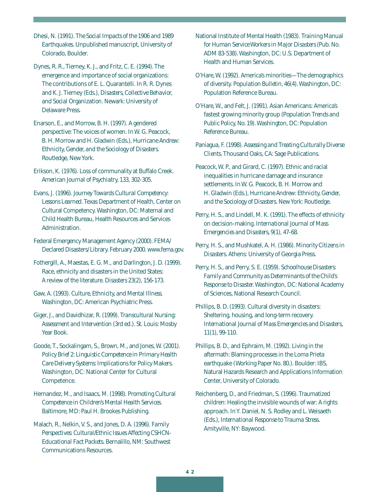Dhesi, N. (1991). *The Social Impacts of the 1906 and 1989 Earthquakes.* Unpublished manuscript, University of Colorado, Boulder.

- Dynes, R. R., Tierney, K. J., and Fritz, C. E. (1994). The emergence and importance of social organizations: The contributions of E. L. Quarantelli. In R. R. Dynes and K. J. Tierney (Eds.), *Disasters, Collective Behavior, and Social Organization.* Newark: University of Delaware Press.
- Enarson, E., and Morrow, B. H. (1997). A gendered perspective: The voices of women. In W. G. Peacock, B. H. Morrow and H. Gladwin (Eds.), *Hurricane Andrew: Ethnicity, Gender, and the Sociology of Disasters.* Routledge, New York.
- Erikson, K. (1976). Loss of communality at Buffalo Creek. *American Journal of Psychiatry, 133*, 302-305.
- Evans, J. (1996). *Journey Towards Cultural Competency: Lessons Learned.* Texas Department of Health, Center on Cultural Competency. Washington, DC: Maternal and Child Health Bureau, Health Resources and Services Administration.
- Federal Emergency Management Agency (2000). FEMA/ Declared Disasters/Library. February 2000. www.fema.gov.
- Fothergill, A., Maestas, E. G. M., and Darlington, J. D. (1999). Race, ethnicity and disasters in the United States: A review of the literature. *Disasters 23*(2), 156-173.
- Gaw, A. (1993). *Culture, Ethnicity, and Mental Illness.* Washington, DC: American Psychiatric Press.
- Giger, J., and Davidhizar, R. (1999). *Transcultural Nursing: Assessment and Intervention* (3rd ed.). St. Louis: Mosby Year Book.
- Goode, T., Sockalingam, S., Brown, M., and Jones, W. (2001). *Policy Brief 2: Linguistic Competence in Primary Health Care Delivery Systems: Implications for Policy Makers.* Washington, DC: National Center for Cultural Competence.
- Hernandez, M., and Isaacs, M. (1998). *Promoting Cultural Competence in Children's Mental Health Services.* Baltimore, MD: Paul H. Brookes Publishing.
- Malach, R., Nelkin, V. S., and Jones, D. A. (1996). *Family Perspectives: Cultural/Ethnic Issues Affecting CSHCN-Educational Fact Packets.* Bernalillo, NM: Southwest Communications Resources.
- National Institute of Mental Health (1983). *Training Manual for Human Service Workers in Major Disasters* (Pub. No. ADM 83-538). Washington, DC: U.S. Department of Health and Human Services.
- O'Hare, W. (1992). America's minorities—The demographics of diversity. *Population Bulletin, 46*(4). Washington, DC: Population Reference Bureau.
- O'Hare, W., and Felt, J. (1991). Asian Americans: America's fastest growing minority group (*Population Trends and Public Policy, No. 19).* Washington, DC: Population Reference Bureau.
- Paniagua, F. (1998). *Assessing and Treating Culturally Diverse Clients.* Thousand Oaks, CA: Sage Publications.
- Peacock, W. P., and Girard, C. (1997). Ethnic and racial inequalities in hurricane damage and insurance settlements. In W. G. Peacock, B. H. Morrow and H. Gladwin (Eds.), *Hurricane Andrew: Ethnicity, Gender, and the Sociology of Disasters.* New York: Routledge.
- Perry, H. S., and Lindell, M. K. (1991). The effects of ethnicity on decision-making. *International Journal of Mass Emergencies and Disasters, 9*(1), 47-68.
- Perry, H. S., and Mushkatel, A. H. (1986). *Minority Citizens in Disasters.* Athens: University of Georgia Press.
- Perry, H. S., and Perry, S. E. (1959). *Schoolhouse Disasters: Family and Community as Determinants of the Child's Response to Disaster.* Washington, DC: National Academy of Sciences, National Research Council.
- Phillips, B. D. (1993). Cultural diversity in disasters: Sheltering, housing, and long-term recovery. *International Journal of Mass Emergencies and Disasters, 11*(1), 99-110.
- Phillips, B. D., and Ephraim, M. (1992). Living in the aftermath: Blaming processes in the Loma Prieta earthquake (Working Paper No. 80.). Boulder: IBS, Natural Hazards Research and Applications Information Center, University of Colorado.
- Reichenberg, D., and Friedman, S. (1996). Traumatized children: Healing the invisible wounds of war: A rights approach. In Y. Daniel, N. S. Rodley and L. Weisaeth (Eds.), *International Response to Trauma Stress.* Amityville, NY: Baywood.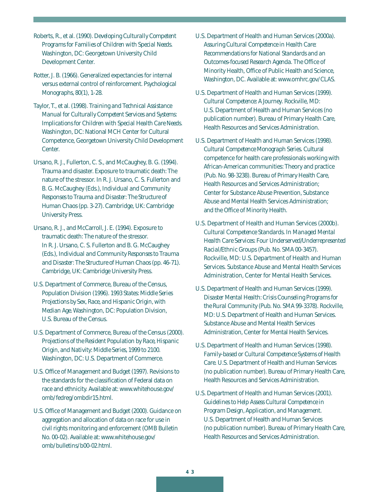- Roberts, R., et al. (1990). *Developing Culturally Competent Programs for Families of Children with Special Needs.* Washington, DC: Georgetown University Child Development Center.
- Rotter, J. B. (1966). Generalized expectancies for internal versus external control of reinforcement. *Psychological Monographs, 80*(1), 1-28.
- Taylor, T., et al. (1998). *Training and Technical Assistance Manual for Culturally Competent Services and Systems: Implications for Children with Special Health Care Needs.* Washington, DC: National MCH Center for Cultural Competence, Georgetown University Child Development Center.
- Ursano, R. J., Fullerton, C. S., and McCaughey, B. G. (1994). Trauma and disaster. Exposure to traumatic death: The nature of the stressor. In R. J. Ursano, C. S. Fullerton and B. G. McCaughey (Eds.), *Individual and Community Responses to Trauma and Disaster: The Structure of Human Chaos* (pp. 3-27). Cambridge, UK: Cambridge University Press.
- Ursano, R. J., and McCarroll, J. E. (1994). Exposure to traumatic death: The nature of the stressor. In R. J. Ursano, C. S. Fullerton and B. G. McCaughey (Eds.), *Individual and Community Responses to Trauma and Disaster: The Structure of Human Chaos* (pp. 46-71). Cambridge, UK: Cambridge University Press.
- U.S. Department of Commerce, Bureau of the Census, Population Division (1996). *1993 States: Middle Series Projections by Sex, Race, and Hispanic Origin, with Median Age*. Washington, DC: Population Division, U.S. Bureau of the Census.
- U.S. Department of Commerce, Bureau of the Census (2000). *Projections of the Resident Population by Race, Hispanic Origin, and Nativity: Middle Series, 1999 to 2100.* Washington, DC: U.S. Department of Commerce.
- U.S. Office of Management and Budget (1997). Revisions to the standards for the classification of Federal data on race and ethnicity. Available at: www.whitehouse.gov/ omb/fedreg/ombdir15.html.
- U.S. Office of Management and Budget (2000). Guidance on aggregation and allocation of data on race for use in civil rights monitoring and enforcement (OMB Bulletin No. 00-02). Available at: www.whitehouse.gov/ omb/bulletins/b00-02.html.
- U.S. Department of Health and Human Services (2000a). *Assuring Cultural Competence in Health Care: Recommendations for National Standards and an Outcomes-focused Research Agenda.* The Office of Minority Health, Office of Public Health and Science, Washington, DC. Available at: www.omhrc.gov/CLAS.
- U.S. Department of Health and Human Services (1999). *Cultural Competence: A Journey*. Rockville, MD: U.S. Department of Health and Human Services (no publication number). Bureau of Primary Health Care, Health Resources and Services Administration.
- U.S. Department of Health and Human Services (1998). *Cultural Competence Monograph Series.* Cultural competence for health care professionals working with African-American communities: Theory and practice (Pub. No. 98-3238). Bureau of Primary Health Care, Health Resources and Services Administration; Center for Substance Abuse Prevention, Substance Abuse and Mental Health Services Administration; and the Office of Minority Health.
- U.S. Department of Health and Human Services (2000b). *Cultural Competence Standards. In Managed Mental Health Care Services: Four Underserved/Underrepresented Racial/Ethnic Groups* (Pub. No. SMA 00-3457). Rockville, MD: U.S. Department of Health and Human Services. Substance Abuse and Mental Health Services Administration, Center for Mental Health Services.
- U.S. Department of Health and Human Services (1999). *Disaster Mental Health: Crisis Counseling Programs for the Rural Community* (Pub. No. SMA 99-3378). Rockville, MD: U.S. Department of Health and Human Services. Substance Abuse and Mental Health Services Administration, Center for Mental Health Services.
- U.S. Department of Health and Human Services (1998). *Family-based or Cultural Competence Systems of Health Care.* U.S. Department of Health and Human Services (no publication number). Bureau of Primary Health Care, Health Resources and Services Administration.
- U.S. Department of Health and Human Services (2001). *Guidelines to Help Assess Cultural Competence in Program Design, Application, and Management.* U.S. Department of Health and Human Services (no publication number). Bureau of Primary Health Care, Health Resources and Services Administration.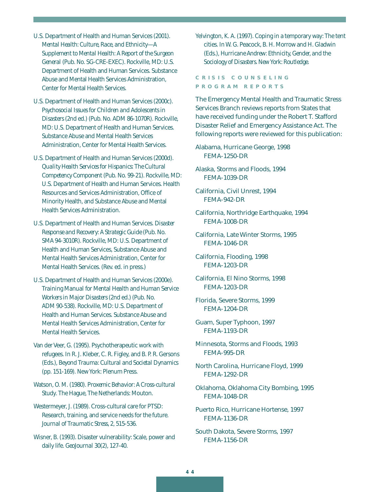- U.S. Department of Health and Human Services (2001). *Mental Health: Culture, Race, and Ethnicity—A Supplement to Mental Health: A Report of the Surgeon General* (Pub. No. SG-CRE-EXEC)*.* Rockville, MD: U.S. Department of Health and Human Services. Substance Abuse and Mental Health Services Administration, Center for Mental Health Services.
- U.S. Department of Health and Human Services (2000c). *Psychosocial Issues for Children and Adolescents in Disasters* (2nd ed.) (Pub. No. ADM 86-1070R). Rockville, MD: U.S. Department of Health and Human Services. Substance Abuse and Mental Health Services Administration, Center for Mental Health Services.
- U.S. Department of Health and Human Services (2000d). *Quality Health Services for Hispanics: The Cultural Competency Component* (Pub. No. 99-21). Rockville, MD: U.S. Department of Health and Human Services. Health Resources and Services Administration, Office of Minority Health, and Substance Abuse and Mental Health Services Administration.
- U.S. Department of Health and Human Services. *Disaster Response and Recovery: A Strategic Guide* (Pub. No. SMA 94-3010R). Rockville, MD: U.S. Department of Health and Human Services, Substance Abuse and Mental Health Services Administration, Center for Mental Health Services. (Rev. ed. in press.)
- U.S. Department of Health and Human Services (2000e). *Training Manual for Mental Health and Human Service Workers in Major Disasters* (2nd ed.) (Pub. No. ADM 90-538). Rockville, MD: U.S. Department of Health and Human Services. Substance Abuse and Mental Health Services Administration, Center for Mental Health Services.
- Van der Veer, G. (1995). Psychotherapeutic work with refugees. In R. J. Kleber, C. R. Figley, and B. P. R. Gersons (Eds.), *Beyond Trauma: Cultural and Societal Dynamics* (pp. 151-169). New York: Plenum Press.
- Watson, O. M. (1980). *Proxemic Behavior: A Cross-cultural Study*. The Hague, The Netherlands: Mouton.
- Westermeyer, J. (1989). Cross-cultural care for PTSD: Research, training, and service needs for the future. *Journal of Traumatic Stress, 2*, 515-536.
- Wisner, B. (1993). Disaster vulnerability: Scale, power and daily life. *GeoJournal 30*(2), 127-40.

Yelvington, K. A. (1997). Coping in a temporary way: The tent cities. In W. G. Peacock, B. H. Morrow and H. Gladwin (Eds.), *Hurricane Andrew: Ethnicity, Gender, and the Sociology of Disasters. New York: Routledge.*

#### **CRISIS COUNSELING PROGRAM REPORTS**

The Emergency Mental Health and Traumatic Stress Services Branch reviews reports from States that have received funding under the Robert T. Stafford Disaster Relief and Emergency Assistance Act. The following reports were reviewed for this publication:

- Alabama, Hurricane George, 1998 FEMA-1250-DR
- Alaska, Storms and Floods, 1994 FEMA-1039-DR
- California, Civil Unrest, 1994 FEMA-942-DR
- California, Northridge Earthquake, 1994 FEMA-1008-DR
- California, Late Winter Storms, 1995 FEMA-1046-DR
- California, Flooding, 1998 FEMA-1203-DR
- California, El Nino Storms, 1998 FEMA-1203-DR
- Florida, Severe Storms, 1999 FEMA-1204-DR
- Guam, Super Typhoon, 1997 FEMA-1193-DR
- Minnesota, Storms and Floods, 1993 FEMA-995-DR
- North Carolina, Hurricane Floyd, 1999 FEMA-1292-DR
- Oklahoma, Oklahoma City Bombing, 1995 FEMA-1048-DR
- Puerto Rico, Hurricane Hortense, 1997 FEMA-1136-DR
- South Dakota, Severe Storms, 1997 FEMA-1156-DR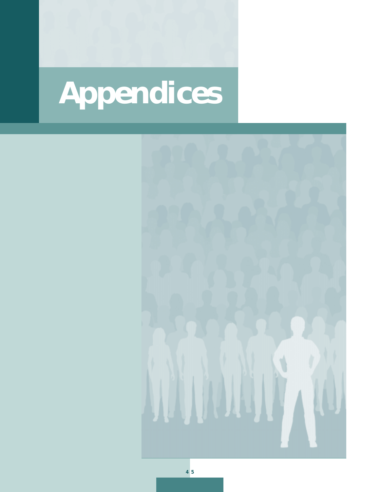# **Appendices**

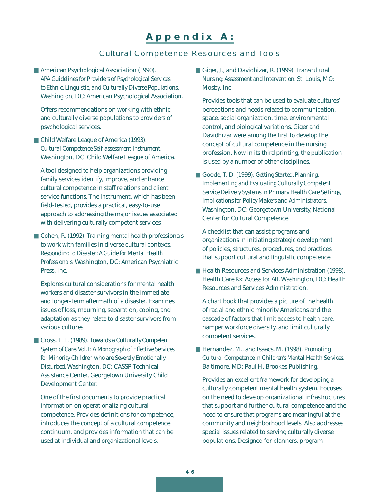## **Appendix A:**

## Cultural Competence Resources and Tools

■ American Psychological Association (1990). *APA Guidelines for Providers of Psychological Services to Ethnic, Linguistic, and Culturally Diverse Populations.* Washington, DC: American Psychological Association.

Offers recommendations on working with ethnic and culturally diverse populations to providers of psychological services.

■ Child Welfare League of America (1993). *Cultural Competence Self-assessment Instrument.* Washington, DC: Child Welfare League of America.

A tool designed to help organizations providing family services identify, improve, and enhance cultural competence in staff relations and client service functions. The instrument, which has been field-tested, provides a practical, easy-to-use approach to addressing the major issues associated with delivering culturally competent services.

■ Cohen, R. (1992). Training mental health professionals to work with families in diverse cultural contexts. *Responding to Disaster: A Guide for Mental Health Professionals.* Washington, DC: American Psychiatric Press, Inc.

Explores cultural considerations for mental health workers and disaster survivors in the immediate and longer-term aftermath of a disaster. Examines issues of loss, mourning, separation, coping, and adaptation as they relate to disaster survivors from various cultures.

■ Cross, T. L. (1989). *Towards a Culturally Competent System of Care. Vol. I: A Monograph of Effective Services for Minority Children who are Severely Emotionally Disturbed.* Washington, DC: CASSP Technical Assistance Center, Georgetown University Child Development Center.

One of the first documents to provide practical information on operationalizing cultural competence. Provides definitions for competence, introduces the concept of a cultural competence continuum, and provides information that can be used at individual and organizational levels.

■ Giger, J., and Davidhizar, R. (1999). *Transcultural Nursing: Assessment and Intervention.* St. Louis, MO: Mosby, Inc.

Provides tools that can be used to evaluate cultures' perceptions and needs related to communication, space, social organization, time, environmental control, and biological variations. Giger and Davidhizar were among the first to develop the concept of cultural competence in the nursing profession. Now in its third printing, the publication is used by a number of other disciplines.

■ Goode, T. D. (1999). *Getting Started: Planning*, *Implementing and Evaluating Culturally Competent Service Delivery Systems in Primary Health Care Settings, Implications for Policy Makers and Administrators.* Washington, DC: Georgetown University, National Center for Cultural Competence.

A checklist that can assist programs and organizations in initiating strategic development of policies, structures, procedures, and practices that support cultural and linguistic competence.

■ Health Resources and Services Administration (1998). *Health Care Rx: Access for All.* Washington, DC: Health Resources and Services Administration.

A chart book that provides a picture of the health of racial and ethnic minority Americans and the cascade of factors that limit access to health care, hamper workforce diversity, and limit culturally competent services.

■ Hernandez, M., and Isaacs, M. (1998). *Promoting Cultural Competence in Children's Mental Health Services.* Baltimore, MD: Paul H. Brookes Publishing.

Provides an excellent framework for developing a culturally competent mental health system. Focuses on the need to develop organizational infrastructures that support and further cultural competence and the need to ensure that programs are meaningful at the community and neighborhood levels. Also addresses special issues related to serving culturally diverse populations. Designed for planners, program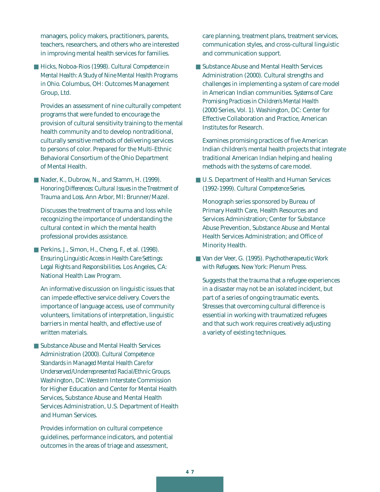managers, policy makers, practitioners, parents, teachers, researchers, and others who are interested in improving mental health services for families.

■ Hicks, Noboa-Rios (1998). *Cultural Competence in Mental Health: A Study of Nine Mental Health Programs in Ohio.* Columbus, OH: Outcomes Management Group, Ltd.

Provides an assessment of nine culturally competent programs that were funded to encourage the provision of cultural sensitivity training to the mental health community and to develop nontraditional, culturally sensitive methods of delivering services to persons of color. Prepared for the Multi-Ethnic Behavioral Consortium of the Ohio Department of Mental Health.

■ Nader, K., Dubrow, N., and Stamm, H. (1999). *Honoring Differences: Cultural Issues in the Treatment of Trauma and Loss.* Ann Arbor, MI: Brunner/Mazel.

Discusses the treatment of trauma and loss while recognizing the importance of understanding the cultural context in which the mental health professional provides assistance.

■ Perkins, J., Simon, H., Cheng, F., et al. (1998). *Ensuring Linguistic Access in Health Care Settings: Legal Rights and Responsibilities.* Los Angeles, CA: National Health Law Program.

An informative discussion on linguistic issues that can impede effective service delivery. Covers the importance of language access, use of community volunteers, limitations of interpretation, linguistic barriers in mental health, and effective use of written materials.

■ Substance Abuse and Mental Health Services Administration (2000). *Cultural Competence Standards in Managed Mental Health Care for Underserved/Underrepresented Racial/Ethnic Groups.* Washington, DC: Western Interstate Commission for Higher Education and Center for Mental Health Services, Substance Abuse and Mental Health Services Administration, U.S. Department of Health and Human Services.

Provides information on cultural competence guidelines, performance indicators, and potential outcomes in the areas of triage and assessment,

care planning, treatment plans, treatment services, communication styles, and cross-cultural linguistic and communication support.

■ Substance Abuse and Mental Health Services Administration (2000). Cultural strengths and challenges in implementing a system of care model in American Indian communities. *Systems of Care: Promising Practices in Children's Mental Health* (2000 Series, Vol. 1). Washington, DC: Center for Effective Collaboration and Practice, American Institutes for Research.

Examines promising practices of five American Indian children's mental health projects that integrate traditional American Indian helping and healing methods with the systems of care model.

■ U.S. Department of Health and Human Services (1992-1999). *Cultural Competence Series.*

Monograph series sponsored by Bureau of Primary Health Care, Health Resources and Services Administration; Center for Substance Abuse Prevention, Substance Abuse and Mental Health Services Administration; and Office of Minority Health.

■ Van der Veer, G. (1995). *Psychotherapeutic Work with Refugees.* New York: Plenum Press.

Suggests that the trauma that a refugee experiences in a disaster may not be an isolated incident, but part of a series of ongoing traumatic events. Stresses that overcoming cultural difference is essential in working with traumatized refugees and that such work requires creatively adjusting a variety of existing techniques.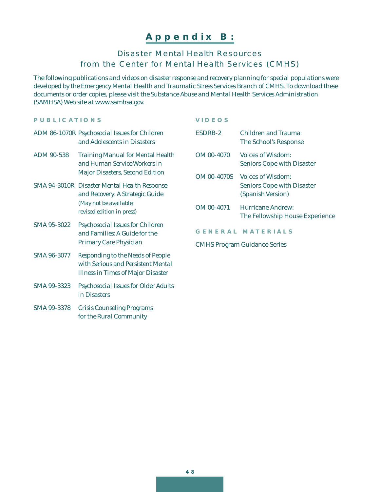# **Appendix B:**

## Disaster Mental Health Resources from the Center for Mental Health Services (CMHS)

*The following publications and videos on disaster response and recovery planning for special populations were developed by the Emergency Mental Health and Traumatic Stress Services Branch of CMHS. To download these documents or order copies, please visit the Substance Abuse and Mental Health Services Administration (SAMHSA) Web site at www.samhsa.gov.*

#### **PUBLICATIONS**

- ADM 86-1070R *Psychosocial Issues for Children and Adolescents in Disasters*
- ADM 90-538 *Training Manual for Mental Health and Human Service Workers in Major Disasters, Second Edition*
- SMA 94-3010R *Disaster Mental Health Response and Recovery: A Strategic Guide (May not be available; revised edition in press)*
- SMA 95-3022 *Psychosocial Issues for Children and Families: A Guide for the Primary Care Physician*
- SMA 96-3077 *Responding to the Needs of People with Serious and Persistent Mental Illness in Times of Major Disaster*
- SMA 99-3323 *Psychosocial Issues for Older Adults in Disasters*
- SMA 99-3378 *Crisis Counseling Programs for the Rural Community*

#### **VIDEOS**

ESDRB-2 Children and Trauma: The School's Response OM 00-4070 Voices of Wisdom: Seniors Cope with Disaster OM 00-4070S Voices of Wisdom: Seniors Cope with Disaster (Spanish Version) OM 00-4071 Hurricane Andrew: The Fellowship House Experience

**GENERAL MATERIALS**

CMHS Program Guidance Series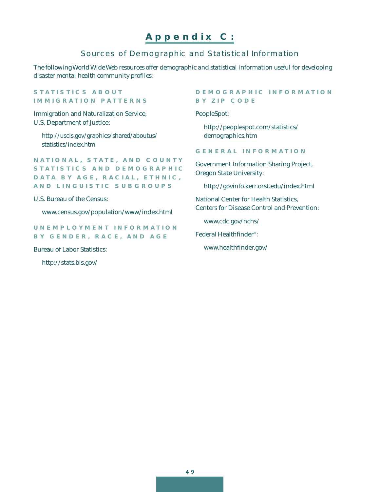## **Appendix C:**

## Sources of Demographic and Statistical Information

*The following World Wide Web resources offer demographic and statistical information useful for developing disaster mental health community profiles:*

**STATISTICS ABOUT IMMIGRATION PATTERNS**

Immigration and Naturalization Service, U.S. Department of Justice:

http://uscis.gov/graphics/shared/aboutus/ statistics/index.htm

**NATIONAL, STATE, AND COUNTY STATISTICS AND DEMOGRAPHIC DATA BY AGE, RACIAL, ETHNIC, AND LINGUISTIC SUBGROUPS**

U.S. Bureau of the Census:

www.census.gov/population/www/index.html

**UNEMPLOYMENT INFORMATION BY GENDER, RACE, AND AGE**

Bureau of Labor Statistics:

http://stats.bls.gov/

## **DEMOGRAPHIC INFORMATION BY ZIP CODE**

PeopleSpot:

http://peoplespot.com/statistics/ demographics.htm

**GENERAL INFORMATION**

Government Information Sharing Project, Oregon State University:

http://govinfo.kerr.orst.edu/index.html

National Center for Health Statistics, Centers for Disease Control and Prevention:

www.cdc.gov/nchs/

Federal Healthfinder®:

www.healthfinder.gov/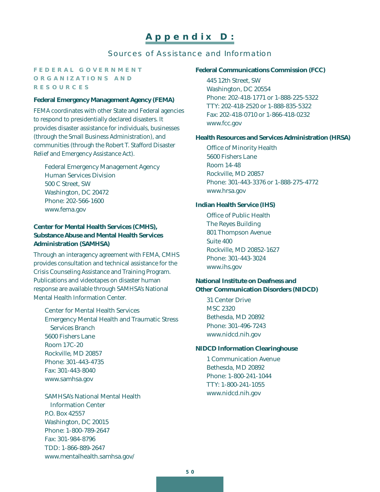# **Appendix D:**

## Sources of Assistance and Information

## **FEDERAL GOVERNMENT ORGANIZATIONS AND RESOURCES**

#### **Federal Emergency Management Agency (FEMA)**

FEMA coordinates with other State and Federal agencies to respond to presidentially declared disasters. It provides disaster assistance for individuals, businesses (through the Small Business Administration), and communities (through the Robert T. Stafford Disaster Relief and Emergency Assistance Act).

Federal Emergency Management Agency Human Services Division 500 C Street, SW Washington, DC 20472 Phone: 202-566-1600 www.fema.gov

## **Center for Mental Health Services (CMHS), Substance Abuse and Mental Health Services Administration (SAMHSA)**

Through an interagency agreement with FEMA, CMHS provides consultation and technical assistance for the Crisis Counseling Assistance and Training Program. Publications and videotapes on disaster human response are available through SAMHSA's National Mental Health Information Center.

Center for Mental Health Services Emergency Mental Health and Traumatic Stress Services Branch 5600 Fishers Lane Room 17C-20 Rockville, MD 20857 Phone: 301-443-4735 Fax: 301-443-8040 www.samhsa.gov

SAMHSA's National Mental Health Information Center P.O. Box 42557 Washington, DC 20015 Phone: 1-800-789-2647 Fax: 301-984-8796 TDD: 1-866-889-2647 www.mentalhealth.samhsa.gov/

#### **Federal Communications Commission (FCC)**

445 12th Street, SW Washington, DC 20554 Phone: 202-418-1771 or 1-888-225-5322 TTY: 202-418-2520 or 1-888-835-5322 Fax: 202-418-0710 or 1-866-418-0232 www.fcc.gov

#### **Health Resources and Services Administration (HRSA)**

Office of Minority Health 5600 Fishers Lane Room 14-48 Rockville, MD 20857 Phone: 301-443-3376 or 1-888-275-4772 www.hrsa.gov

#### **Indian Health Service (IHS)**

Office of Public Health The Reyes Building 801 Thompson Avenue Suite 400 Rockville, MD 20852-1627 Phone: 301-443-3024 www.ihs.gov

## **National Institute on Deafness and Other Communication Disorders (NIDCD)**

31 Center Drive MSC 2320 Bethesda, MD 20892 Phone: 301-496-7243 www.nidcd.nih.gov

#### **NIDCD Information Clearinghouse**

1 Communication Avenue Bethesda, MD 20892 Phone: 1-800-241-1044 TTY: 1-800-241-1055 www.nidcd.nih.gov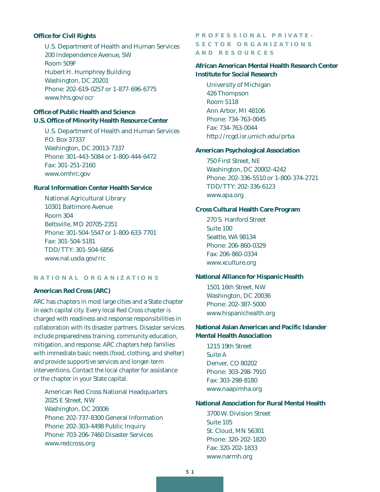#### **Office for Civil Rights**

U.S. Department of Health and Human Services 200 Independence Avenue, SW Room 509F Hubert H. Humphrey Building Washington, DC 20201 Phone: 202-619-0257 or 1-877-696-6775 www.hhs.gov/ocr

## **Office of Public Health and Science U.S. Office of Minority Health Resource Center**

U.S. Department of Health and Human Services P.O. Box 37337 Washington, DC 20013-7337 Phone: 301-443-5084 or 1-800-444-6472 Fax: 301-251-2160 www.omhrc.gov

## **Rural Information Center Health Service**

National Agricultural Library 10301 Baltimore Avenue Room 304 Beltsville, MD 20705-2351 Phone: 301-504-5547 or 1-800-633-7701 Fax: 301-504-5181 TDD/TTY: 301-504-6856 www.nal.usda.gov/ric

#### **NATIONAL ORGANIZATIONS**

#### **American Red Cross (ARC)**

ARC has chapters in most large cities and a State chapter in each capital city. Every local Red Cross chapter is charged with readiness and response responsibilities in collaboration with its disaster partners. Disaster services include preparedness training, community education, mitigation, and response. ARC chapters help families with immediate basic needs (food, clothing, and shelter) and provide supportive services and longer-term interventions. Contact the local chapter for assistance or the chapter in your State capital.

American Red Cross National Headquarters 2025 E Street, NW Washington, DC 20006 Phone: 202-737-8300 General Information Phone: 202-303-4498 Public Inquiry Phone: 703-206-7460 Disaster Services www.redcross.org

## **PROFESSIONAL PRIVATE-SECTOR ORGANIZATIONS AND RESOURCES**

## **African American Mental Health Research Center Institute for Social Research**

University of Michigan 426 Thompson Room 5118 Ann Arbor, MI 48106 Phone: 734-763-0045 Fax: 734-763-0044 http://rcgd.isr.umich.edu/prba

#### **American Psychological Association**

750 First Street, NE Washington, DC 20002-4242 Phone: 202-336-5510 or 1-800-374-2721 TDD/TTY: 202-336-6123 www.apa.org

#### **Cross Cultural Health Care Program**

270 S. Hanford Street Suite 100 Seattle, WA 98134 Phone: 206-860-0329 Fax: 206-860-0334 www.xculture.org

#### **National Alliance for Hispanic Health**

1501 16th Street, NW Washington, DC 20036 Phone: 202-387-5000 www.hispanichealth.org

## **National Asian American and Pacific Islander Mental Health Association**

1215 19th Street Suite A Denver, CO 80202 Phone: 303-298-7910 Fax: 303-298-8180 www.naapimha.org

#### **National Association for Rural Mental Health**

3700 W. Division Street Suite 105 St. Cloud, MN 56301 Phone: 320-202-1820 Fax: 320-202-1833 www.narmh.org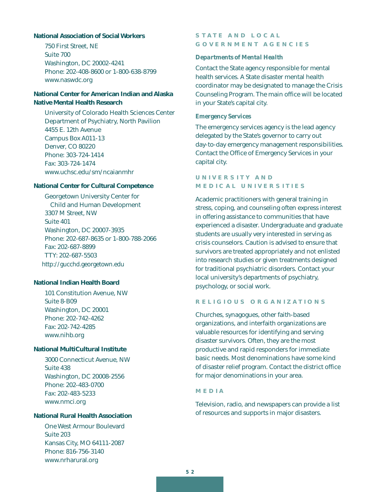#### **National Association of Social Workers**

750 First Street, NE Suite 700 Washington, DC 20002-4241 Phone: 202-408-8600 or 1-800-638-8799 www.naswdc.org

## **National Center for American Indian and Alaska Native Mental Health Research**

University of Colorado Health Sciences Center Department of Psychiatry, North Pavilion 4455 E. 12th Avenue Campus Box A011-13 Denver, CO 80220 Phone: 303-724-1414 Fax: 303-724-1474 www.uchsc.edu/sm/ncaianmhr

#### **National Center for Cultural Competence**

Georgetown University Center for Child and Human Development 3307 M Street, NW Suite 401 Washington, DC 20007-3935 Phone: 202-687-8635 or 1-800-788-2066 Fax: 202-687-8899 TTY: 202-687-5503 http://gucchd.georgetown.edu

## **National Indian Health Board**

101 Constitution Avenue, NW Suite 8-B09 Washington, DC 20001 Phone: 202-742-4262 Fax: 202-742-4285 www.nihb.org

#### **National MultiCultural Institute**

3000 Connecticut Avenue, NW Suite 438 Washington, DC 20008-2556 Phone: 202-483-0700 Fax: 202-483-5233 www.nmci.org

#### **National Rural Health Association**

One West Armour Boulevard Suite 203 Kansas City, MO 64111-2087 Phone: 816-756-3140 www.nrharural.org

#### **STATE AND LOCAL GOVERNMENT AGENCIES**

#### *Departments of Mental Health*

Contact the State agency responsible for mental health services. A State disaster mental health coordinator may be designated to manage the Crisis Counseling Program. The main office will be located in your State's capital city.

#### *Emergency Services*

The emergency services agency is the lead agency delegated by the State's governor to carry out day-to-day emergency management responsibilities. Contact the Office of Emergency Services in your capital city.

## **UNIVERSITY AND MEDICAL UNIVERSITIES**

Academic practitioners with general training in stress, coping, and counseling often express interest in offering assistance to communities that have experienced a disaster. Undergraduate and graduate students are usually very interested in serving as crisis counselors. Caution is advised to ensure that survivors are treated appropriately and not enlisted into research studies or given treatments designed for traditional psychiatric disorders. Contact your local university's departments of psychiatry, psychology, or social work.

## **RELIGIOUS ORGANIZATIONS**

Churches, synagogues, other faith-based organizations, and interfaith organizations are valuable resources for identifying and serving disaster survivors. Often, they are the most productive and rapid responders for immediate basic needs. Most denominations have some kind of disaster relief program. Contact the district office for major denominations in your area.

#### **MEDIA**

Television, radio, and newspapers can provide a list of resources and supports in major disasters.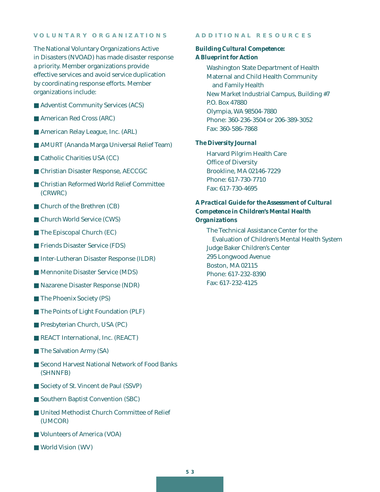## **VOLUNTARY ORGANIZATIONS**

The National Voluntary Organizations Active in Disasters (NVOAD) has made disaster response a priority. Member organizations provide effective services and avoid service duplication by coordinating response efforts. Member organizations include:

- Adventist Community Services (ACS)
- American Red Cross (ARC)
- American Relay League, Inc. (ARL)
- AMURT (Ananda Marga Universal Relief Team)
- Catholic Charities USA (CC)
- Christian Disaster Response, AECCGC
- Christian Reformed World Relief Committee (CRWRC)
- Church of the Brethren (CB)
- Church World Service (CWS)
- The Episcopal Church (EC)
- Friends Disaster Service (FDS)
- Inter-Lutheran Disaster Response (ILDR)
- Mennonite Disaster Service (MDS)
- Nazarene Disaster Response (NDR)
- The Phoenix Society (PS)
- The Points of Light Foundation (PLF)
- Presbyterian Church, USA (PC)
- REACT International, Inc. (REACT)
- The Salvation Army (SA)
- Second Harvest National Network of Food Banks (SHNNFB)
- Society of St. Vincent de Paul (SSVP)
- Southern Baptist Convention (SBC)
- United Methodist Church Committee of Relief (UMCOR)
- Volunteers of America (VOA)
- World Vision (WV)

## **ADDITIONAL RESOURCES**

## *Building Cultural Competence: A Blueprint for Action*

Washington State Department of Health Maternal and Child Health Community and Family Health New Market Industrial Campus, Building #7 P.O. Box 47880 Olympia, WA 98504-7880 Phone: 360-236-3504 or 206-389-3052 Fax: 360-586-7868

#### *The Diversity Journal*

Harvard Pilgrim Health Care Office of Diversity Brookline, MA 02146-7229 Phone: 617-730-7710 Fax: 617-730-4695

## *A Practical Guide for the Assessment of Cultural Competence in Children's Mental Health Organizations*

The Technical Assistance Center for the Evaluation of Children's Mental Health System Judge Baker Children's Center 295 Longwood Avenue Boston, MA 02115 Phone: 617-232-8390 Fax: 617-232-4125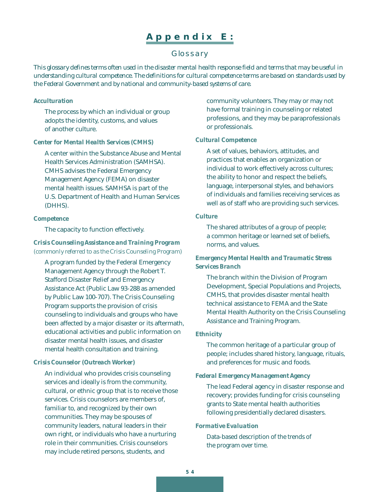# **Appendix E:**

## **Glossary**

*This glossary defines terms often used in the disaster mental health response field and terms that may be useful in understanding cultural competence. The definitions for cultural competence terms are based on standards used by the Federal Government and by national and community-based systems of care.*

#### *Acculturation*

The process by which an individual or group adopts the identity, customs, and values of another culture.

#### *Center for Mental Health Services (CMHS)*

A center within the Substance Abuse and Mental Health Services Administration (SAMHSA). CMHS advises the Federal Emergency Management Agency (FEMA) on disaster mental health issues. SAMHSA is part of the U.S. Department of Health and Human Services (DHHS).

#### *Competence*

The capacity to function effectively.

## *Crisis Counseling Assistance and Training Program (commonly referred to as the Crisis Counseling Program)*

A program funded by the Federal Emergency Management Agency through the Robert T. Stafford Disaster Relief and Emergency Assistance Act (Public Law 93-288 as amended by Public Law 100-707). The Crisis Counseling Program supports the provision of crisis counseling to individuals and groups who have been affected by a major disaster or its aftermath, educational activities and public information on disaster mental health issues, and disaster mental health consultation and training.

#### *Crisis Counselor (Outreach Worker)*

An individual who provides crisis counseling services and ideally is from the community, cultural, or ethnic group that is to receive those services. Crisis counselors are members of, familiar to, and recognized by their own communities. They may be spouses of community leaders, natural leaders in their own right, or individuals who have a nurturing role in their communities. Crisis counselors may include retired persons, students, and

community volunteers. They may or may not have formal training in counseling or related professions, and they may be paraprofessionals or professionals.

#### *Cultural Competence*

A set of values, behaviors, attitudes, and practices that enables an organization or individual to work effectively across cultures; the ability to honor and respect the beliefs, language, interpersonal styles, and behaviors of individuals and families receiving services as well as of staff who are providing such services.

#### *Culture*

The shared attributes of a group of people; a common heritage or learned set of beliefs, norms, and values.

## *Emergency Mental Health and Traumatic Stress Services Branch*

The branch within the Division of Program Development, Special Populations and Projects, CMHS, that provides disaster mental health technical assistance to FEMA and the State Mental Health Authority on the Crisis Counseling Assistance and Training Program.

#### *Ethnicity*

The common heritage of a particular group of people; includes shared history, language, rituals, and preferences for music and foods.

#### *Federal Emergency Management Agency*

The lead Federal agency in disaster response and recovery; provides funding for crisis counseling grants to State mental health authorities following presidentially declared disasters.

#### *Formative Evaluation*

Data-based description of the trends of the program over time.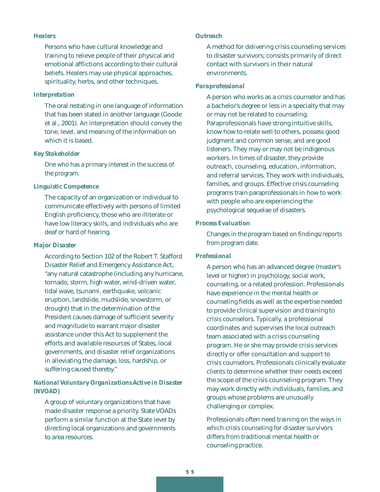#### *Healers*

Persons who have cultural knowledge and training to relieve people of their physical and emotional afflictions according to their cultural beliefs. Healers may use physical approaches, spirituality, herbs, and other techniques.

#### *Interpretation*

The oral restating in one language of information that has been stated in another language (Goode et al., 2001). An interpretation should convey the tone, level, and meaning of the information on which it is based.

#### *Key Stakeholder*

One who has a primary interest in the success of the program.

#### *Linguistic Competence*

The capacity of an organization or individual to communicate effectively with persons of limited English proficiency, those who are illiterate or have low literacy skills, and individuals who are deaf or hard of hearing.

#### *Major Disaster*

According to Section 102 of the Robert T. Stafford Disaster Relief and Emergency Assistance Act, "any natural catastrophe (including any hurricane, tornado, storm, high water, wind-driven water, tidal wave, tsunami, earthquake, volcanic eruption, landslide, mudslide, snowstorm, or drought) that in the determination of the President causes damage of sufficient severity and magnitude to warrant major disaster assistance under this Act to supplement the efforts and available resources of States, local governments, and disaster relief organizations in alleviating the damage, loss, hardship, or suffering caused thereby."

## *National Voluntary Organizations Active in Disaster (NVOAD)*

A group of voluntary organizations that have made disaster response a priority. State VOADs perform a similar function at the State level by directing local organizations and governments to area resources.

#### *Outreach*

A method for delivering crisis counseling services to disaster survivors; consists primarily of direct contact with survivors in their natural environments.

#### *Paraprofessional*

A person who works as a crisis counselor and has a bachelor's degree or less in a specialty that may or may not be related to counseling. Paraprofessionals have strong intuitive skills, know how to relate well to others, possess good judgment and common sense, and are good listeners. They may or may not be indigenous workers. In times of disaster, they provide outreach, counseling, education, information, and referral services. They work with individuals, families, and groups. Effective crisis counseling programs train paraprofessionals in how to work with people who are experiencing the psychological sequelae of disasters.

#### *Process Evaluation*

Changes in the program based on findings/reports from program date.

#### *Professional*

A person who has an advanced degree (master's level or higher) in psychology, social work, counseling, or a related profession. Professionals have experience in the mental health or counseling fields as well as the expertise needed to provide clinical supervision and training to crisis counselors. Typically, a professional coordinates and supervises the local outreach team associated with a crisis counseling program. He or she may provide crisis services directly or offer consultation and support to crisis counselors. Professionals clinically evaluate clients to determine whether their needs exceed the scope of the crisis counseling program. They may work directly with individuals, families, and groups whose problems are unusually challenging or complex.

Professionals often need training on the ways in which crisis counseling for disaster survivors differs from traditional mental health or counseling practice.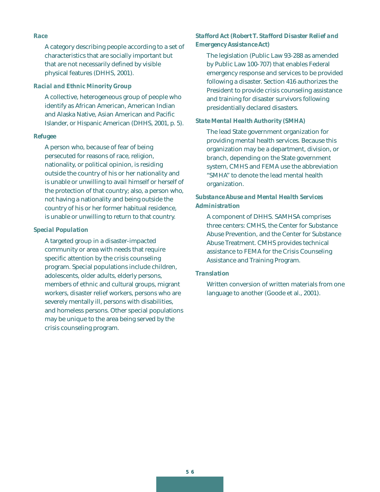#### *Race*

A category describing people according to a set of characteristics that are socially important but that are not necessarily defined by visible physical features (DHHS, 2001).

#### *Racial and Ethnic Minority Group*

A collective, heterogeneous group of people who identify as African American, American Indian and Alaska Native, Asian American and Pacific Islander, or Hispanic American (DHHS, 2001, p. 5).

#### *Refugee*

A person who, because of fear of being persecuted for reasons of race, religion, nationality, or political opinion, is residing outside the country of his or her nationality and is unable or unwilling to avail himself or herself of the protection of that country; also, a person who, not having a nationality and being outside the country of his or her former habitual residence, is unable or unwilling to return to that country.

#### *Special Population*

A targeted group in a disaster-impacted community or area with needs that require specific attention by the crisis counseling program. Special populations include children, adolescents, older adults, elderly persons, members of ethnic and cultural groups, migrant workers, disaster relief workers, persons who are severely mentally ill, persons with disabilities, and homeless persons. Other special populations may be unique to the area being served by the crisis counseling program.

## *Stafford Act (Robert T. Stafford Disaster Relief and Emergency Assistance Act)*

The legislation (Public Law 93-288 as amended by Public Law 100-707) that enables Federal emergency response and services to be provided following a disaster. Section 416 authorizes the President to provide crisis counseling assistance and training for disaster survivors following presidentially declared disasters.

#### *State Mental Health Authority (SMHA)*

The lead State government organization for providing mental health services. Because this organization may be a department, division, or branch, depending on the State government system, CMHS and FEMA use the abbreviation "SMHA" to denote the lead mental health organization.

## *Substance Abuse and Mental Health Services Administration*

A component of DHHS. SAMHSA comprises three centers: CMHS, the Center for Substance Abuse Prevention, and the Center for Substance Abuse Treatment. CMHS provides technical assistance to FEMA for the Crisis Counseling Assistance and Training Program.

#### *Translation*

Written conversion of written materials from one language to another (Goode et al., 2001).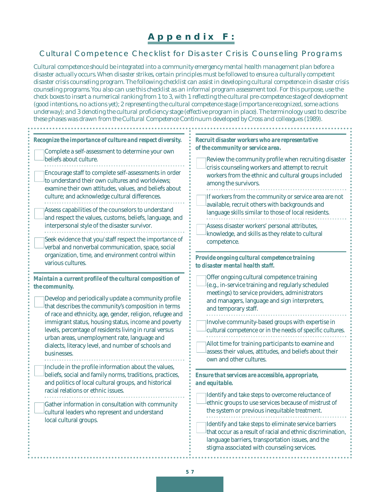# **Appendix F:**

## Cultural Competence Checklist for Disaster Crisis Counseling Programs

*Cultural competence should be integrated into a community emergency mental health management plan before a disaster actually occurs.When disaster strikes, certain principles must be followed to ensure a culturally competent disaster crisis counseling program. The following checklist can assist in developing cultural competence in disaster crisis counseling programs.You also can use this checklist as an informal program assessment tool. For this purpose, use the check boxes to insert a numerical ranking from 1 to 3, with 1 reflecting the cultural pre-competence stage of development (good intentions, no actions yet); 2 representing the cultural competence stage (importance recognized, some actions underway); and 3 denoting the cultural proficiency stage (effective program in place). The terminology used to describe these phases was drawn from the Cultural Competence Continuum developed by Cross and colleagues (1989).*

| Recognize the importance of culture and respect diversity.<br>Complete a self-assessment to determine your own<br>beliefs about culture.                                                                                                                              | Recruit disaster workers who are representative<br>of the community or service area.<br>Review the community profile when recruiting disaster<br>crisis counseling workers and attempt to recruit<br>workers from the ethnic and cultural groups included<br>among the survivors. |  |  |  |
|-----------------------------------------------------------------------------------------------------------------------------------------------------------------------------------------------------------------------------------------------------------------------|-----------------------------------------------------------------------------------------------------------------------------------------------------------------------------------------------------------------------------------------------------------------------------------|--|--|--|
| Encourage staff to complete self-assessments in order<br>to understand their own cultures and worldviews;<br>examine their own attitudes, values, and beliefs about                                                                                                   |                                                                                                                                                                                                                                                                                   |  |  |  |
| culture; and acknowledge cultural differences.<br>Assess capabilities of the counselors to understand                                                                                                                                                                 | If workers from the community or service area are not<br>available, recruit others with backgrounds and<br>language skills similar to those of local residents.<br>Assess disaster workers' personal attributes,<br>knowledge, and skills as they relate to cultural              |  |  |  |
| and respect the values, customs, beliefs, language, and<br>interpersonal style of the disaster survivor.                                                                                                                                                              |                                                                                                                                                                                                                                                                                   |  |  |  |
| Seek evidence that you/staff respect the importance of<br>verbal and nonverbal communication, space, social<br>organization, time, and environment control within<br>various cultures.<br>Maintain a current profile of the cultural composition of<br>the community. | competence.                                                                                                                                                                                                                                                                       |  |  |  |
|                                                                                                                                                                                                                                                                       | <b>Provide ongoing cultural competence training</b><br>to disaster mental health staff.                                                                                                                                                                                           |  |  |  |
|                                                                                                                                                                                                                                                                       | Offer ongoing cultural competence training<br>(e.g., in-service training and regularly scheduled<br>meetings) to service providers, administrators                                                                                                                                |  |  |  |
| Develop and periodically update a community profile<br>that describes the community's composition in terms<br>of race and ethnicity, age, gender, religion, refugee and                                                                                               | and managers, language and sign interpreters,<br>and temporary staff.                                                                                                                                                                                                             |  |  |  |
| immigrant status, housing status, income and poverty<br>levels, percentage of residents living in rural versus                                                                                                                                                        | Involve community-based groups with expertise in<br>cultural competence or in the needs of specific cultures.                                                                                                                                                                     |  |  |  |
| urban areas, unemployment rate, language and<br>dialects, literacy level, and number of schools and<br>businesses.                                                                                                                                                    | Allot time for training participants to examine and<br>assess their values, attitudes, and beliefs about their<br>own and other cultures.                                                                                                                                         |  |  |  |
| Include in the profile information about the values,<br>beliefs, social and family norms, traditions, practices,<br>and politics of local cultural groups, and historical                                                                                             | <b>Ensure that services are accessible, appropriate,</b><br>and equitable.                                                                                                                                                                                                        |  |  |  |
| racial relations or ethnic issues.<br>Gather information in consultation with community<br>cultural leaders who represent and understand                                                                                                                              | Identify and take steps to overcome reluctance of<br>ethnic groups to use services because of mistrust of<br>the system or previous inequitable treatment.                                                                                                                        |  |  |  |
| local cultural groups.                                                                                                                                                                                                                                                | Identify and take steps to eliminate service barriers<br>that occur as a result of racial and ethnic discrimination,<br>language barriers, transportation issues, and the<br>stigma associated with counseling services.                                                          |  |  |  |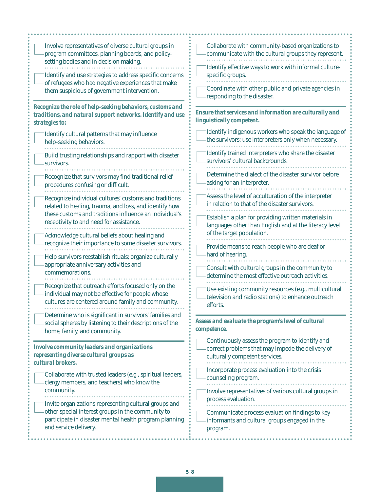| Involve representatives of diverse cultural groups in                                                                                               | Collaborate with community-based organizations to                                                                                          |  |  |
|-----------------------------------------------------------------------------------------------------------------------------------------------------|--------------------------------------------------------------------------------------------------------------------------------------------|--|--|
| program committees, planning boards, and policy-                                                                                                    | communicate with the cultural groups they represent.                                                                                       |  |  |
| setting bodies and in decision making.                                                                                                              | Identify effective ways to work with informal culture-                                                                                     |  |  |
| Identify and use strategies to address specific concerns                                                                                            | specific groups.                                                                                                                           |  |  |
| of refugees who had negative experiences that make                                                                                                  | Coordinate with other public and private agencies in                                                                                       |  |  |
| them suspicious of government intervention.                                                                                                         | responding to the disaster.                                                                                                                |  |  |
| Recognize the role of help-seeking behaviors, customs and<br>traditions, and natural support networks. Identify and use<br>strategies to:           | <b>Ensure that services and information are culturally and</b><br>linguistically competent.                                                |  |  |
| Identify cultural patterns that may influence                                                                                                       | Identify indigenous workers who speak the language of                                                                                      |  |  |
| help-seeking behaviors.                                                                                                                             | the survivors; use interpreters only when necessary.                                                                                       |  |  |
| Build trusting relationships and rapport with disaster                                                                                              | Identify trained interpreters who share the disaster                                                                                       |  |  |
| survivors.                                                                                                                                          | survivors' cultural backgrounds.                                                                                                           |  |  |
| Recognize that survivors may find traditional relief                                                                                                | Determine the dialect of the disaster survivor before                                                                                      |  |  |
| procedures confusing or difficult.                                                                                                                  | asking for an interpreter.                                                                                                                 |  |  |
| Recognize individual cultures' customs and traditions                                                                                               | Assess the level of acculturation of the interpreter                                                                                       |  |  |
| related to healing, trauma, and loss, and identify how                                                                                              | in relation to that of the disaster survivors.                                                                                             |  |  |
| these customs and traditions influence an individual's<br>receptivity to and need for assistance.                                                   | Establish a plan for providing written materials in<br>languages other than English and at the literacy level<br>of the target population. |  |  |
| Acknowledge cultural beliefs about healing and                                                                                                      | Provide means to reach people who are deaf or                                                                                              |  |  |
| recognize their importance to some disaster survivors.                                                                                              | hard of hearing.                                                                                                                           |  |  |
| Help survivors reestablish rituals; organize culturally<br>appropriate anniversary activities and<br>commemorations.                                | Consult with cultural groups in the community to<br>determine the most effective outreach activities.                                      |  |  |
| Recognize that outreach efforts focused only on the                                                                                                 | Use existing community resources (e.g., multicultural                                                                                      |  |  |
| individual may not be effective for people whose                                                                                                    | television and radio stations) to enhance outreach                                                                                         |  |  |
| cultures are centered around family and community.                                                                                                  | efforts.                                                                                                                                   |  |  |
| Determine who is significant in survivors' families and<br>social spheres by listening to their descriptions of the<br>home, family, and community. | <b>Assess and evaluate the program's level of cultural</b><br>competence.                                                                  |  |  |
| <b>Involve community leaders and organizations</b>                                                                                                  | Continuously assess the program to identify and                                                                                            |  |  |
| representing diverse cultural groups as                                                                                                             | correct problems that may impede the delivery of                                                                                           |  |  |
| cultural brokers.                                                                                                                                   | culturally competent services.                                                                                                             |  |  |
| Collaborate with trusted leaders (e.g., spiritual leaders,                                                                                          | Incorporate process evaluation into the crisis                                                                                             |  |  |
| clergy members, and teachers) who know the                                                                                                          | counseling program.                                                                                                                        |  |  |
| community.                                                                                                                                          | Involve representatives of various cultural groups in                                                                                      |  |  |
| Invite organizations representing cultural groups and                                                                                               | process evaluation.                                                                                                                        |  |  |
| other special interest groups in the community to                                                                                                   | Communicate process evaluation findings to key                                                                                             |  |  |
| participate in disaster mental health program planning                                                                                              | informants and cultural groups engaged in the                                                                                              |  |  |
| and service delivery.                                                                                                                               | program.                                                                                                                                   |  |  |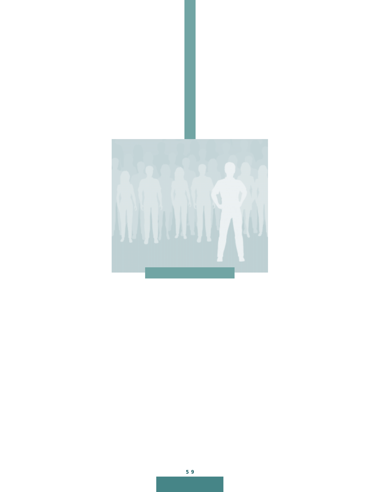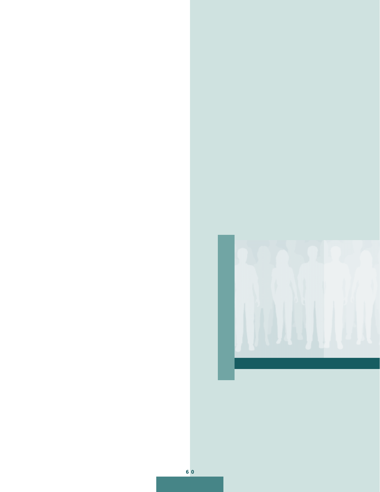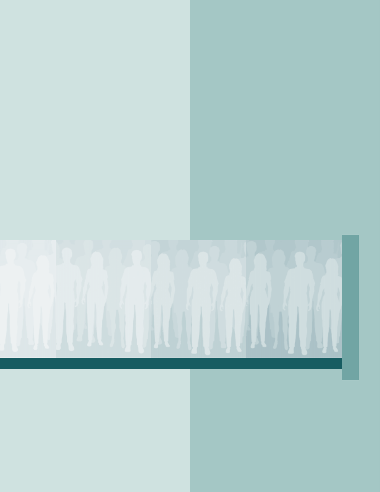